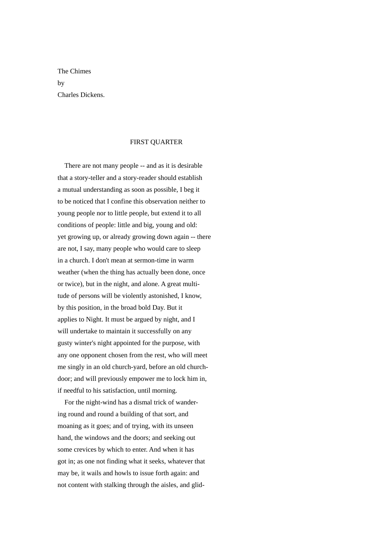The Chimes by Charles Dickens.

## FIRST QUARTER

 There are not many people -- and as it is desirable that a story-teller and a story-reader should establish a mutual understanding as soon as possible, I beg it to be noticed that I confine this observation neither to young people nor to little people, but extend it to all conditions of people: little and big, young and old: yet growing up, or already growing down again -- there are not, I say, many people who would care to sleep in a church. I don't mean at sermon-time in warm weather (when the thing has actually been done, once or twice), but in the night, and alone. A great multitude of persons will be violently astonished, I know, by this position, in the broad bold Day. But it applies to Night. It must be argued by night, and I will undertake to maintain it successfully on any gusty winter's night appointed for the purpose, with any one opponent chosen from the rest, who will meet me singly in an old church-yard, before an old churchdoor; and will previously empower me to lock him in, if needful to his satisfaction, until morning.

 For the night-wind has a dismal trick of wandering round and round a building of that sort, and moaning as it goes; and of trying, with its unseen hand, the windows and the doors; and seeking out some crevices by which to enter. And when it has got in; as one not finding what it seeks, whatever that may be, it wails and howls to issue forth again: and not content with stalking through the aisles, and glid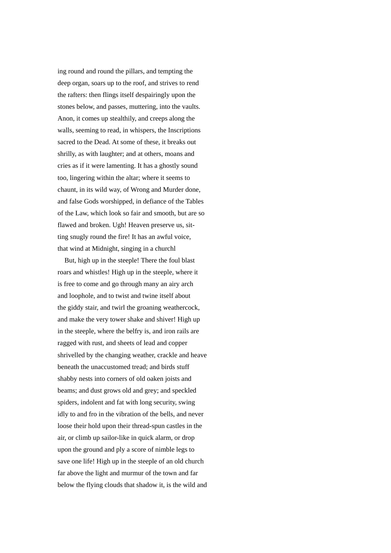ing round and round the pillars, and tempting the deep organ, soars up to the roof, and strives to rend the rafters: then flings itself despairingly upon the stones below, and passes, muttering, into the vaults. Anon, it comes up stealthily, and creeps along the walls, seeming to read, in whispers, the Inscriptions sacred to the Dead. At some of these, it breaks out shrilly, as with laughter; and at others, moans and cries as if it were lamenting. It has a ghostly sound too, lingering within the altar; where it seems to chaunt, in its wild way, of Wrong and Murder done, and false Gods worshipped, in defiance of the Tables of the Law, which look so fair and smooth, but are so flawed and broken. Ugh! Heaven preserve us, sitting snugly round the fire! It has an awful voice, that wind at Midnight, singing in a churchl

 But, high up in the steeple! There the foul blast roars and whistles! High up in the steeple, where it is free to come and go through many an airy arch and loophole, and to twist and twine itself about the giddy stair, and twirl the groaning weathercock, and make the very tower shake and shiver! High up in the steeple, where the belfry is, and iron rails are ragged with rust, and sheets of lead and copper shrivelled by the changing weather, crackle and heave beneath the unaccustomed tread; and birds stuff shabby nests into corners of old oaken joists and beams; and dust grows old and grey; and speckled spiders, indolent and fat with long security, swing idly to and fro in the vibration of the bells, and never loose their hold upon their thread-spun castles in the air, or climb up sailor-like in quick alarm, or drop upon the ground and ply a score of nimble legs to save one life! High up in the steeple of an old church far above the light and murmur of the town and far below the flying clouds that shadow it, is the wild and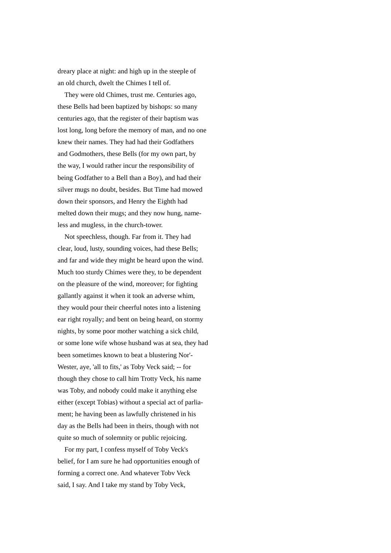dreary place at night: and high up in the steeple of an old church, dwelt the Chimes I tell of.

 They were old Chimes, trust me. Centuries ago, these Bells had been baptized by bishops: so many centuries ago, that the register of their baptism was lost long, long before the memory of man, and no one knew their names. They had had their Godfathers and Godmothers, these Bells (for my own part, by the way, I would rather incur the responsibility of being Godfather to a Bell than a Boy), and had their silver mugs no doubt, besides. But Time had mowed down their sponsors, and Henry the Eighth had melted down their mugs; and they now hung, nameless and mugless, in the church-tower.

 Not speechless, though. Far from it. They had clear, loud, lusty, sounding voices, had these Bells; and far and wide they might be heard upon the wind. Much too sturdy Chimes were they, to be dependent on the pleasure of the wind, moreover; for fighting gallantly against it when it took an adverse whim, they would pour their cheerful notes into a listening ear right royally; and bent on being heard, on stormy nights, by some poor mother watching a sick child, or some lone wife whose husband was at sea, they had been sometimes known to beat a blustering Nor'- Wester, aye, 'all to fits,' as Toby Veck said; -- for though they chose to call him Trotty Veck, his name was Toby, and nobody could make it anything else either (except Tobias) without a special act of parliament; he having been as lawfully christened in his day as the Bells had been in theirs, though with not quite so much of solemnity or public rejoicing.

 For my part, I confess myself of Toby Veck's belief, for I am sure he had opportunities enough of forming a correct one. And whatever Tobv Veck said, I say. And I take my stand by Toby Veck,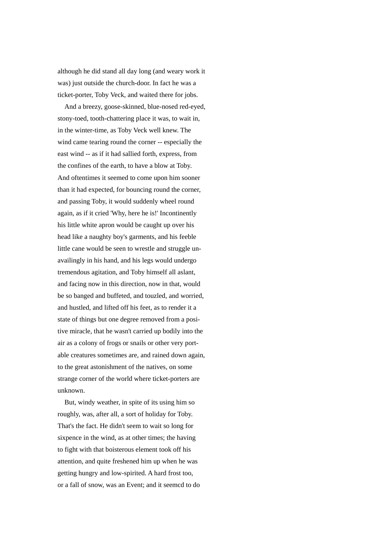although he did stand all day long (and weary work it was) just outside the church-door. In fact he was a ticket-porter, Toby Veck, and waited there for jobs.

 And a breezy, goose-skinned, blue-nosed red-eyed, stony-toed, tooth-chattering place it was, to wait in, in the winter-time, as Toby Veck well knew. The wind came tearing round the corner -- especially the east wind -- as if it had sallied forth, express, from the confines of the earth, to have a blow at Toby. And oftentimes it seemed to come upon him sooner than it had expected, for bouncing round the corner, and passing Toby, it would suddenly wheel round again, as if it cried 'Why, here he is!' Incontinently his little white apron would be caught up over his head like a naughty boy's garments, and his feeble little cane would be seen to wrestle and struggle unavailingly in his hand, and his legs would undergo tremendous agitation, and Toby himself all aslant, and facing now in this direction, now in that, would be so banged and buffeted, and touzled, and worried, and hustled, and lifted off his feet, as to render it a state of things but one degree removed from a positive miracle, that he wasn't carried up bodily into the air as a colony of frogs or snails or other very portable creatures sometimes are, and rained down again, to the great astonishment of the natives, on some strange corner of the world where ticket-porters are unknown.

 But, windy weather, in spite of its using him so roughly, was, after all, a sort of holiday for Toby. That's the fact. He didn't seem to wait so long for sixpence in the wind, as at other times; the having to fight with that boisterous element took off his attention, and quite freshened him up when he was getting hungry and low-spirited. A hard frost too, or a fall of snow, was an Event; and it seemcd to do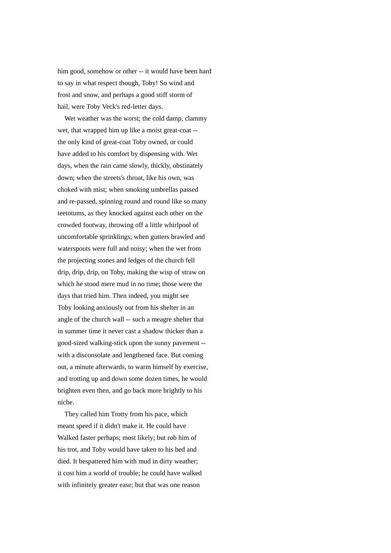him good, somehow or other -- it would have been hard to say in what respect though, Toby! So wind and frost and snow, and perhaps a good stiff storm of hail, were Toby Veck's red-letter days.

Wet weather was the worst; the cold damp, clammy wet, that wrapped him up like a moist great-coat - the only kind of great-coat Toby owned, or could have added to his comfort by dispensing with. Wet days, when the rain came slowly, thickly, obstinately down; when the streets's throat, like his own, was choked with mist; when smoking umbrellas passed and re-passed, spinning round and round like so many teetotums, as they knocked against each other on the crowded footway, throwing off a little whirlpool of uncomfortable sprinklings; when gutters brawled and waterspouts were full and noisy; when the wet from the projecting stones and ledges of the church fell drip, drip, drip, on Toby, making the wisp of straw on which he stood mere mud in no time; those were the days that tried him. Then indeed, you might see Toby looking anxiously out from his shelter in an angle of the church wall -- such a meagre shelter that in summer time it never cast a shadow thicker than a good-sized walking-stick upon the sunny pavement - with a disconsolate and lengthened face. But coming out, a minute afterwards, to warm himself by exercise, and trotting up and down some dozen times, he would brighten even then, and go back more brightly to his niche.

 They called him Trotty from his pace, which meant speed if it didn't make it. He could have Walked faster perhaps; most likely; but rob him of his trot, and Toby would have taken to his bed and died. It bespattered him with mud in dirty weather; it cost him a world of trouble; he could have walked with infinitely greater ease; but that was one reason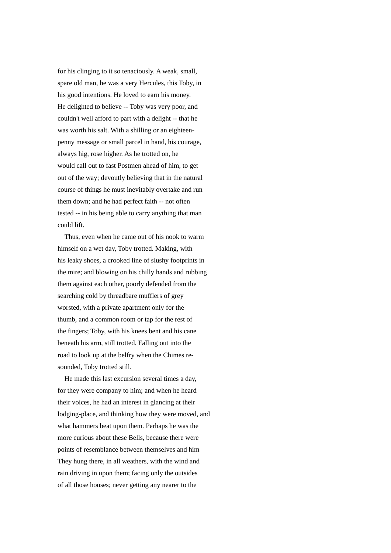for his clinging to it so tenaciously. A weak, small, spare old man, he was a very Hercules, this Toby, in his good intentions. He loved to earn his money. He delighted to believe -- Toby was very poor, and couldn't well afford to part with a delight -- that he was worth his salt. With a shilling or an eighteenpenny message or small parcel in hand, his courage, always hig, rose higher. As he trotted on, he would call out to fast Postmen ahead of him, to get out of the way; devoutly believing that in the natural course of things he must inevitably overtake and run them down; and he had perfect faith -- not often tested -- in his being able to carry anything that man could lift.

 Thus, even when he came out of his nook to warm himself on a wet day, Toby trotted. Making, with his leaky shoes, a crooked line of slushy footprints in the mire; and blowing on his chilly hands and rubbing them against each other, poorly defended from the searching cold by threadbare mufflers of grey worsted, with a private apartment only for the thumb, and a common room or tap for the rest of the fingers; Toby, with his knees bent and his cane beneath his arm, still trotted. Falling out into the road to look up at the belfry when the Chimes resounded, Toby trotted still.

 He made this last excursion several times a day, for they were company to him; and when he heard their voices, he had an interest in glancing at their lodging-place, and thinking how they were moved, and what hammers beat upon them. Perhaps he was the more curious about these Bells, because there were points of resemblance between themselves and him They hung there, in all weathers, with the wind and rain driving in upon them; facing only the outsides of all those houses; never getting any nearer to the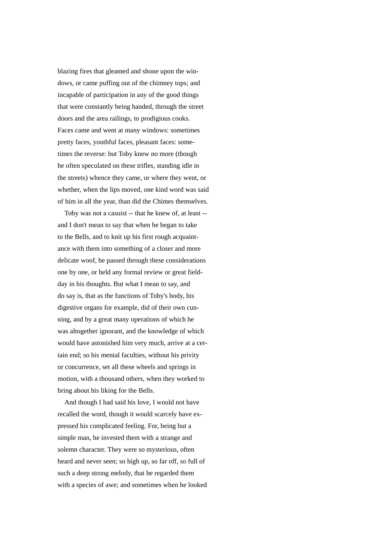blazing fires that gleamed and shone upon the windows, or came puffing out of the chimney tops; and incapable of participation in any of the good things that were constantly being handed, through the street doors and the area railings, to prodigious cooks. Faces came and went at many windows: sometimes pretty faces, youthful faces, pleasant faces: sometimes the reverse: but Toby knew no more (though he often speculated on these trifles, standing idle in the streets) whence they came, or where they went, or whether, when the lips moved, one kind word was said of him in all the year, than did the Chimes themselves.

 Toby was not a casuist -- that he knew of, at least - and I don't mean to say that when he began to take to the Bells, and to knit up his first rough acquaintance with them into something of a closer and more delicate woof, he passed through these considerations one by one, or held any formal review or great fieldday in his thoughts. But what I mean to say, and do say is, that as the functions of Toby's body, his digestive organs for example, did of their own cunning, and by a great many operations of which he was altogether ignorant, and the knowledge of which would have astonished him very much, arrive at a certain end; so his mental faculties, without his privity or concurrence, set all these wheels and springs in motion, with a thousand others, when they worked to bring about his liking for the Bells.

 And though I had said his love, I would not have recalled the word, though it would scarcely have expressed his complicated feeling. For, being but a simple man, he invested them with a strange and solemn character. They were so mysterious, often heard and never seen; so high up, so far off, so full of such a deep strong melody, that he regarded them with a species of awe; and sometimes when he looked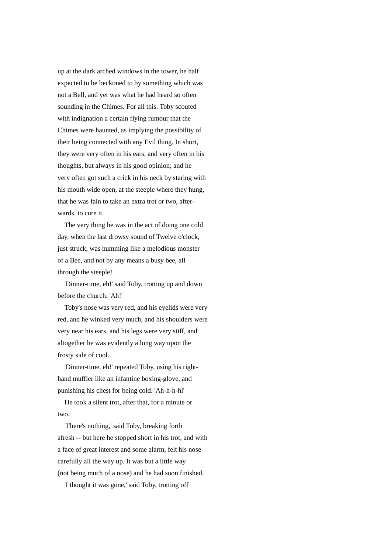up at the dark arched windows in the tower, he half expected to be beckoned to by something which was not a Bell, and yet was what he had heard so often sounding in the Chimes. For all this. Toby scouted with indignation a certain flying rumour that the Chimes were haunted, as implying the possibility of their being connected with any Evil thing. In short, they were very often in his ears, and very often in his thoughts, but always in his good opinion; and he very often got such a crick in his neck by staring with his mouth wide open, at the steeple where they hung, that he was fain to take an extra trot or two, afterwards, to cure it.

 The very thing he was in the act of doing one cold day, when the last drowsy sound of Twelve o'clock, just struck, was humming like a melodious monster of a Bee, and not by any means a busy bee, all through the steeple!

 'Dinner-time, eh!' said Toby, trotting up and down before the church. 'Ah!'

 Toby's nose was very red, and his eyelids were very red, and he winked very much, and his shoulders were very near his ears, and his legs were very stiff, and altogether he was evidently a long way upon the frosty side of cool.

 'Dinner-time, eh!' repeated Toby, using his righthand muffler like an infantine boxing-glove, and punishing his chest for being cold. 'Ah-h-h-hl'

 He took a silent trot, after that, for a minute or two.

 'There's nothing,' said Toby, breaking forth afresh -- but here he stopped short in his trot, and with a face of great interest and some alarm, felt his nose carefully all the way up. It was but a little way (not being much of a nose) and he had soon finished.

'I thought it was gone,' said Toby, trotting off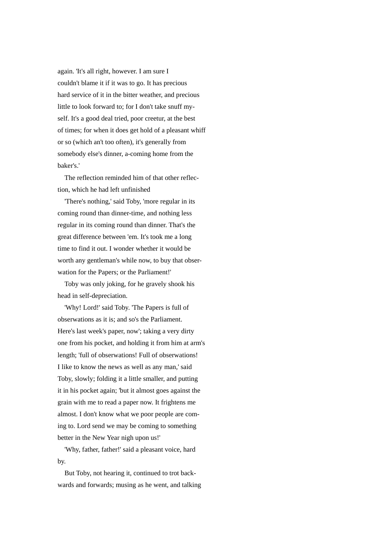again. 'It's all right, however. I am sure I couldn't blame it if it was to go. It has precious hard service of it in the bitter weather, and precious little to look forward to; for I don't take snuff myself. It's a good deal tried, poor creetur, at the best of times; for when it does get hold of a pleasant whiff or so (which an't too often), it's generally from somebody else's dinner, a-coming home from the baker's.'

 The reflection reminded him of that other reflection, which he had left unfinished

 'There's nothing,' said Toby, 'more regular in its coming round than dinner-time, and nothing less regular in its coming round than dinner. That's the great difference between 'em. It's took me a long time to find it out. I wonder whether it would be worth any gentleman's while now, to buy that obserwation for the Papers; or the Parliament!'

 Toby was only joking, for he gravely shook his head in self-depreciation.

 'Why! Lord!' said Toby. 'The Papers is full of obserwations as it is; and so's the Parliament. Here's last week's paper, now'; taking a very dirty one from his pocket, and holding it from him at arm's length; 'full of obserwations! Full of obserwations! I like to know the news as well as any man,' said Toby, slowly; folding it a little smaller, and putting it in his pocket again; 'but it almost goes against the grain with me to read a paper now. It frightens me almost. I don't know what we poor people are coming to. Lord send we may be coming to something better in the New Year nigh upon us!'

 'Why, father, father!' said a pleasant voice, hard by.

 But Toby, not hearing it, continued to trot backwards and forwards; musing as he went, and talking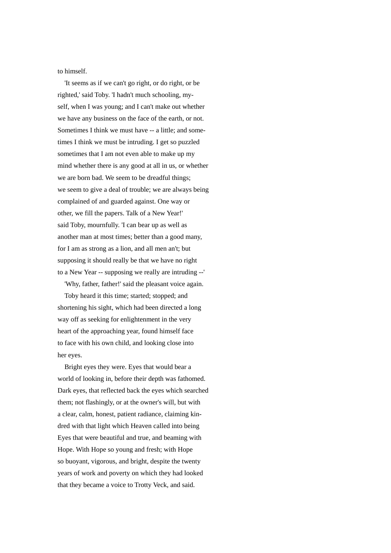to himself.

 'It seems as if we can't go right, or do right, or be righted,' said Toby. 'I hadn't much schooling, myself, when I was young; and I can't make out whether we have any business on the face of the earth, or not. Sometimes I think we must have -- a little; and sometimes I think we must be intruding. I get so puzzled sometimes that I am not even able to make up my mind whether there is any good at all in us, or whether we are born bad. We seem to be dreadful things; we seem to give a deal of trouble; we are always being complained of and guarded against. One way or other, we fill the papers. Talk of a New Year!' said Toby, mournfully. 'I can bear up as well as another man at most times; better than a good many, for I am as strong as a lion, and all men an't; but supposing it should really be that we have no right to a New Year -- supposing we really are intruding --'

 'Why, father, father!' said the pleasant voice again. Toby heard it this time; started; stopped; and shortening his sight, which had been directed a long way off as seeking for enlightenment in the very heart of the approaching year, found himself face

to face with his own child, and looking close into

her eyes.

 Bright eyes they were. Eyes that would bear a world of looking in, before their depth was fathomed. Dark eyes, that reflected back the eyes which searched them; not flashingly, or at the owner's will, but with a clear, calm, honest, patient radiance, claiming kindred with that light which Heaven called into being Eyes that were beautiful and true, and beaming with Hope. With Hope so young and fresh; with Hope so buoyant, vigorous, and bright, despite the twenty years of work and poverty on which they had looked that they became a voice to Trotty Veck, and said.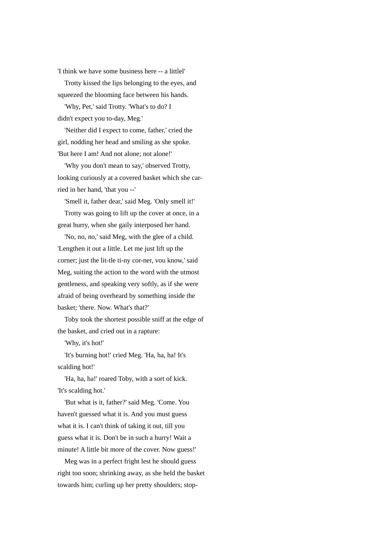'I think we have some business here -- a littlel'

 Trotty kissed the lips belonging to the eyes, and squeezed the blooming face between his hands.

 'Why, Pet,' said Trotty. 'What's to do? I didn't expect you to-day, Meg.'

 'Neither did I expect to come, father,' cried the girl, nodding her head and smiling as she spoke. 'But here I am! And not alone; not alone!'

 'Why you don't mean to say,' observed Trotty, looking curiously at a covered basket which she carried in her hand, 'that you --'

'Smell it, father dear,' said Meg. 'Only smell it!'

 Trotty was going to lift up the cover at once, in a great hurry, when she gaily interposed her hand.

 'No, no, no,' said Meg, with the glee of a child. 'Lengthen it out a little. Let me just lift up the corner; just the lit-tle ti-ny cor-ner, vou know,' said Meg, suiting the action to the word with the utmost gentleness, and speaking very softly, as if she were afraid of being overheard by something inside the basket; 'there. Now. What's that?'

 Toby took the shortest possible sniff at the edge of the basket, and cried out in a rapture:

'Why, it's hot!'

 'It's burning hot!' cried Meg. 'Ha, ha, ha! It's scalding hot!'

'Ha, ha, ha!' roared Toby, with a sort of kick. 'It's scalding hot.'

 'But what is it, father?' said Meg. 'Come. You haven't guessed what it is. And you must guess what it is. I can't think of taking it out, till you guess what it is. Don't be in such a hurry! Wait a minute! A little bit more of the cover. Now guess!'

 Meg was in a perfect fright lest he should guess right too soon; shrinking away, as she held the basket towards him; curling up her pretty shoulders; stop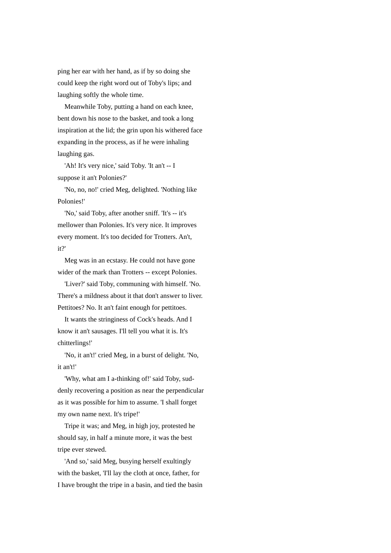ping her ear with her hand, as if by so doing she could keep the right word out of Toby's lips; and laughing softly the whole time.

 Meanwhile Toby, putting a hand on each knee, bent down his nose to the basket, and took a long inspiration at the lid; the grin upon his withered face expanding in the process, as if he were inhaling laughing gas.

 'Ah! It's very nice,' said Toby. 'It an't -- I suppose it an't Polonies?'

 'No, no, no!' cried Meg, delighted. 'Nothing like Polonies!'

 'No,' said Toby, after another sniff. 'It's -- it's mellower than Polonies. It's very nice. It improves every moment. It's too decided for Trotters. An't, it?'

 Meg was in an ecstasy. He could not have gone wider of the mark than Trotters -- except Polonies.

 'Liver?' said Toby, communing with himself. 'No. There's a mildness about it that don't answer to liver. Pettitoes? No. It an't faint enough for pettitoes.

 It wants the stringiness of Cock's heads. And I know it an't sausages. I'll tell you what it is. It's chitterlings!'

 'No, it an't!' cried Meg, in a burst of delight. 'No, it an't!'

'Why, what am I a-thinking of!' said Toby, suddenly recovering a position as near the perpendicular as it was possible for him to assume. 'I shall forget my own name next. It's tripe!'

 Tripe it was; and Meg, in high joy, protested he should say, in half a minute more, it was the best tripe ever stewed.

 'And so,' said Meg, busying herself exultingly with the basket, 'I'll lay the cloth at once, father, for I have brought the tripe in a basin, and tied the basin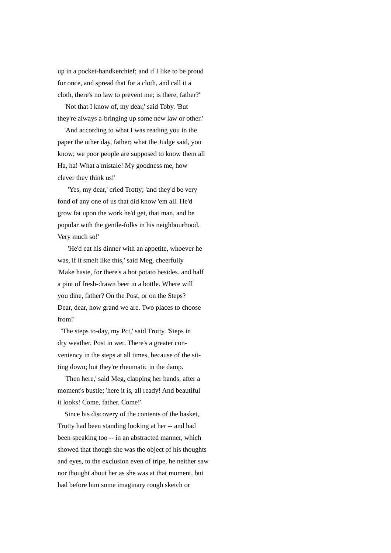up in a pocket-handkerchief; and if I like to be proud for once, and spread that for a cloth, and call it a cloth, there's no law to prevent me; is there, father?'

 'Not that I know of, my dear,' said Toby. 'But they're always a-bringing up some new law or other.'

 'And according to what I was reading you in the paper the other day, father; what the Judge said, you know; we poor people are supposed to know them all Ha, ha! What a mistale! My goodness me, how clever they think us!'

 'Yes, my dear,' cried Trotty; 'and they'd be very fond of any one of us that did know 'em all. He'd grow fat upon the work he'd get, that man, and be popular with the gentle-folks in his neighbourhood. Very much so!'

 'He'd eat his dinner with an appetite, whoever he was, if it smelt like this,' said Meg, cheerfully 'Make haste, for there's a hot potato besides. and half a pint of fresh-drawn beer in a bottle. Where will you dine, father? On the Post, or on the Steps? Dear, dear, how grand we are. Two places to choose from!'

 'The steps to-day, my Pct,' said Trotty. 'Steps in dry weather. Post in wet. There's a greater conveniency in the steps at all times, because of the sitting down; but they're rheumatic in the damp.

 'Then here,' said Meg, clapping her hands, after a moment's bustle; 'here it is, all ready! And beautiful it looks! Come, father. Come!'

 Since his discovery of the contents of the basket, Trotty had been standing looking at her -- and had been speaking too -- in an abstracted manner, which showed that though she was the object of his thoughts and eyes, to the exclusion even of tripe, he neither saw nor thought about her as she was at that moment, but had before him some imaginary rough sketch or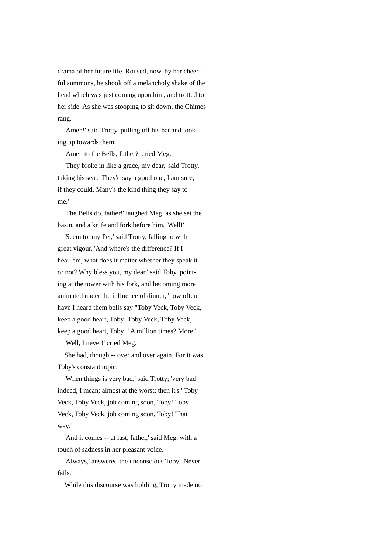drama of her future life. Roused, now, by her cheerful summons, he shook off a melancholy shake of the head which was just coming upon him, and trotted to her side. As she was stooping to sit down, the Chimes rang.

 'Amen!' said Trotty, pulling off his hat and looking up towards them.

'Amen to the Bells, father?' cried Meg.

 'They broke in like a grace, my dear,' said Trotty, taking his seat. 'They'd say a good one, I am sure, if they could. Many's the kind thing they say to me.'

 'The Bells do, father!' laughed Meg, as she set the basin, and a knife and fork before him. 'Well!'

 'Seem to, my Pet,' said Trotty, falling to with great vigour. 'And where's the difference? If I hear 'em, what does it matter whether they speak it or not? Why bless you, my dear,' said Toby, pointing at the tower with his fork, and becoming more animated under the influence of dinner, 'how often have I heard them bells say "Toby Veck, Toby Veck, keep a good heart, Toby! Toby Veck, Toby Veck, keep a good heart, Toby!" A million times? More!'

'Well, I never!' cried Meg.

 She had, though -- over and over again. For it was Toby's constant topic.

 'When things is very bad,' said Trotty; 'very bad indeed, I mean; almost at the worst; then it's "Toby Veck, Toby Veck, job coming soon, Toby! Toby Veck, Toby Veck, job coming soon, Toby! That way.'

 'And it comes -- at last, father,' said Meg, with a touch of sadness in her pleasant voice.

 'Always,' answered the unconscious Toby. 'Never fails.'

While this discourse was holding, Trotty made no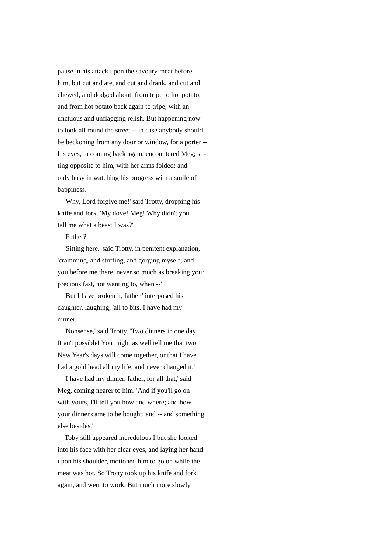pause in his attack upon the savoury meat before him, but cut and ate, and cut and drank, and cut and chewed, and dodged about, from tripe to hot potato, and from hot potato back again to tripe, with an unctuous and unflagging relish. But happening now to look all round the street -- in case anybody should be beckoning from any door or window, for a porter - his eyes, in coming back again, encountered Meg; sitting opposite to him, with her arms folded: and only busy in watching his progress with a smile of bappiness.

 'Why, Lord forgive me!' said Trotty, dropping his knife and fork. 'My dove! Meg! Why didn't you tell me what a beast I was?'

'Father?'

 'Sitting here,' said Trotty, in penitent explanation, 'cramming, and stuffing, and gorging myself; and you before me there, never so much as breaking your precious fast, not wanting to, when --'

 'But I have broken it, father,' interposed his daughter, laughing, 'all to bits. I have had my dinner.'

 'Nonsense,' said Trotty. 'Two dinners in one day! It an't possible! You might as well tell me that two New Year's days will come together, or that I have had a gold head all my life, and never changed it.'

 'I have had my dinner, father, for all that,' said Meg, coming nearer to him. 'And if you'll go on with yours, I'll tell you how and where; and how your dinner came to be bought; and -- and something else besides.'

 Toby still appeared incredulous I but she looked into his face with her clear eyes, and laying her hand upon his shoulder, motioned him to go on while the meat was hot. So Trotty took up his knife and fork again, and went to work. But much more slowly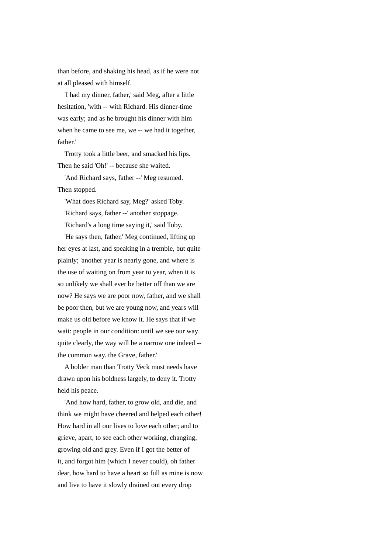than before, and shaking his head, as if he were not at all pleased with himself.

 'I had my dinner, father,' said Meg, after a little hesitation, 'with -- with Richard. His dinner-time was early; and as he brought his dinner with him when he came to see me, we -- we had it together, father.'

 Trotty took a little beer, and smacked his lips. Then he said 'Oh!' -- because she waited.

 'And Richard says, father --' Meg resumed. Then stopped.

 'What does Richard say, Meg?' asked Toby. 'Richard says, father --' another stoppage. 'Richard's a long time saying it,' said Toby.

 'He says then, father,' Meg continued, lifting up her eyes at last, and speaking in a tremble, but quite plainly; 'another year is nearly gone, and where is the use of waiting on from year to year, when it is so unlikely we shall ever be better off than we are now? He says we are poor now, father, and we shall be poor then, but we are young now, and years will make us old before we know it. He says that if we wait: people in our condition: until we see our way quite clearly, the way will be a narrow one indeed - the common way. the Grave, father.'

 A bolder man than Trotty Veck must needs have drawn upon his boldness largely, to deny it. Trotty held his peace.

 'And how hard, father, to grow old, and die, and think we might have cheered and helped each other! How hard in all our lives to love each other; and to grieve, apart, to see each other working, changing, growing old and grey. Even if I got the better of it, and forgot him (which I never could), oh father dear, how hard to have a heart so full as mine is now and live to have it slowly drained out every drop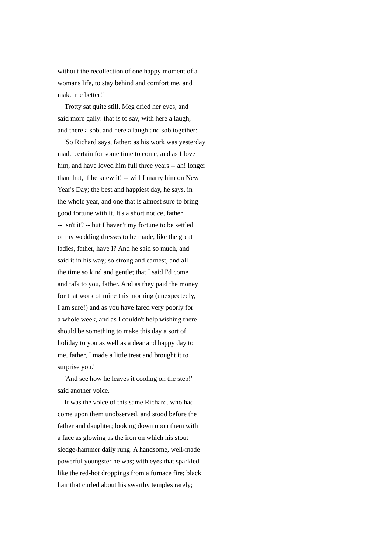without the recollection of one happy moment of a womans life, to stay behind and comfort me, and make me better!'

 Trotty sat quite still. Meg dried her eyes, and said more gaily: that is to say, with here a laugh, and there a sob, and here a laugh and sob together:

 'So Richard says, father; as his work was yesterday made certain for some time to come, and as I love him, and have loved him full three years -- ah! longer than that, if he knew it! -- will I marry him on New Year's Day; the best and happiest day, he says, in the whole year, and one that is almost sure to bring good fortune with it. It's a short notice, father -- isn't it? -- but I haven't my fortune to be settled or my wedding dresses to be made, like the great ladies, father, have I? And he said so much, and said it in his way; so strong and earnest, and all the time so kind and gentle; that I said I'd come and talk to you, father. And as they paid the money for that work of mine this morning (unexpectedly, I am sure!) and as you have fared very poorly for a whole week, and as I couldn't help wishing there should be something to make this day a sort of holiday to you as well as a dear and happy day to me, father, I made a little treat and brought it to surprise you.'

 'And see how he leaves it cooling on the step!' said another voice.

 It was the voice of this same Richard. who had come upon them unobserved, and stood before the father and daughter; looking down upon them with a face as glowing as the iron on which his stout sledge-hammer daily rung. A handsome, well-made powerful youngster he was; with eyes that sparkled like the red-hot droppings from a furnace fire; black hair that curled about his swarthy temples rarely;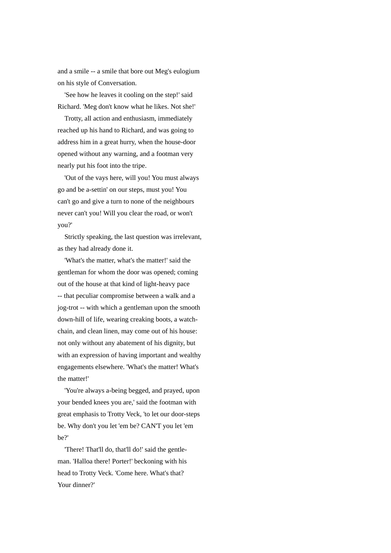and a smile -- a smile that bore out Meg's eulogium on his style of Conversation.

 'See how he leaves it cooling on the step!' said Richard. 'Meg don't know what he likes. Not she!'

 Trotty, all action and enthusiasm, immediately reached up his hand to Richard, and was going to address him in a great hurry, when the house-door opened without any warning, and a footman very nearly put his foot into the tripe.

 'Out of the vays here, will you! You must always go and be a-settin' on our steps, must you! You can't go and give a turn to none of the neighbours never can't you! Will you clear the road, or won't you?'

 Strictly speaking, the last question was irrelevant, as they had already done it.

 'What's the matter, what's the matter!' said the gentleman for whom the door was opened; coming out of the house at that kind of light-heavy pace -- that peculiar compromise between a walk and a jog-trot -- with which a gentleman upon the smooth down-hill of life, wearing creaking boots, a watchchain, and clean linen, may come out of his house: not only without any abatement of his dignity, but with an expression of having important and wealthy engagements elsewhere. 'What's the matter! What's the matter!'

 'You're always a-being begged, and prayed, upon your bended knees you are,' said the footman with great emphasis to Trotty Veck, 'to let our door-steps be. Why don't you let 'em be? CAN'T you let 'em be?'

 'There! That'll do, that'll do!' said the gentleman. 'Halloa there! Porter!' beckoning with his head to Trotty Veck. 'Come here. What's that? Your dinner?'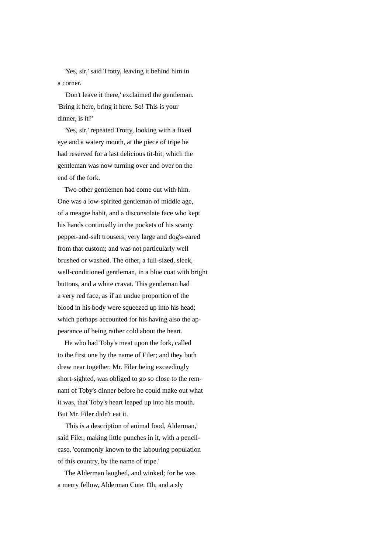'Yes, sir,' said Trotty, leaving it behind him in a corner.

 'Don't leave it there,' exclaimed the gentleman. 'Bring it here, bring it here. So! This is your dinner, is it?'

 'Yes, sir,' repeated Trotty, looking with a fixed eye and a watery mouth, at the piece of tripe he had reserved for a last delicious tit-bit; which the gentleman was now turning over and over on the end of the fork.

 Two other gentlemen had come out with him. One was a low-spirited gentleman of middle age, of a meagre habit, and a disconsolate face who kept his hands continually in the pockets of his scanty pepper-and-salt trousers; very large and dog's-eared from that custom; and was not particularly well brushed or washed. The other, a full-sized, sleek, well-conditioned gentleman, in a blue coat with bright buttons, and a white cravat. This gentleman had a very red face, as if an undue proportion of the blood in his body were squeezed up into his head; which perhaps accounted for his having also the appearance of being rather cold about the heart.

 He who had Toby's meat upon the fork, called to the first one by the name of Filer; and they both drew near together. Mr. Filer being exceedingly short-sighted, was obliged to go so close to the remnant of Toby's dinner before he could make out what it was, that Toby's heart leaped up into his mouth. But Mr. Filer didn't eat it.

 'This is a description of animal food, Alderman,' said Filer, making little punches in it, with a pencilcase, 'commonly known to the labouring population of this country, by the name of tripe.'

 The Alderman laughed, and winked; for he was a merry fellow, Alderman Cute. Oh, and a sly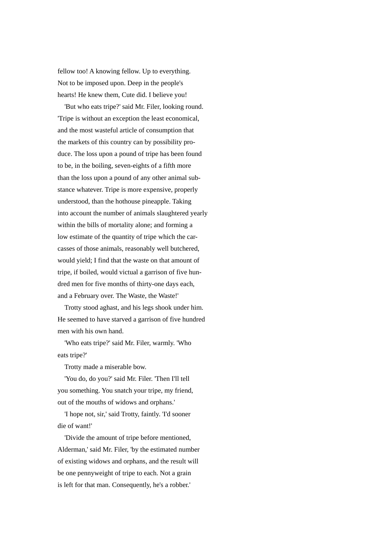fellow too! A knowing fellow. Up to everything. Not to be imposed upon. Deep in the people's hearts! He knew them, Cute did. I believe you!

 'But who eats tripe?' said Mr. Filer, looking round. 'Tripe is without an exception the least economical, and the most wasteful article of consumption that the markets of this country can by possibility produce. The loss upon a pound of tripe has been found to be, in the boiling, seven-eights of a fifth more than the loss upon a pound of any other animal substance whatever. Tripe is more expensive, properly understood, than the hothouse pineapple. Taking into account the number of animals slaughtered yearly within the bills of mortality alone; and forming a low estimate of the quantity of tripe which the carcasses of those animals, reasonably well butchered, would yield; I find that the waste on that amount of tripe, if boiled, would victual a garrison of five hundred men for five months of thirty-one days each, and a February over. The Waste, the Waste!'

 Trotty stood aghast, and his legs shook under him. He seemed to have starved a garrison of five hundred men with his own hand.

 'Who eats tripe?' said Mr. Filer, warmly. 'Who eats tripe?'

Trotty made a miserable bow.

 'You do, do you?' said Mr. Filer. 'Then I'll tell you something. You snatch your tripe, my friend, out of the mouths of widows and orphans.'

 'I hope not, sir,' said Trotty, faintly. 'I'd sooner die of want!'

 'Divide the amount of tripe before mentioned, Alderman,' said Mr. Filer, 'by the estimated number of existing widows and orphans, and the result will be one pennyweight of tripe to each. Not a grain is left for that man. Consequently, he's a robber.'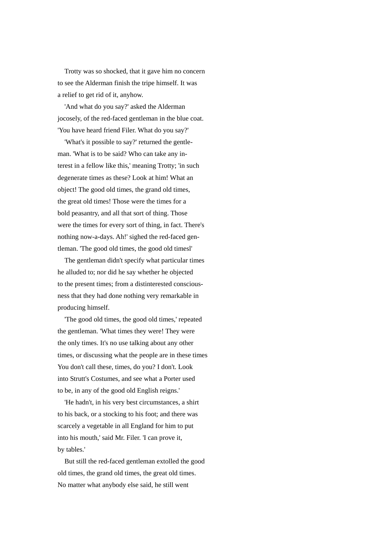Trotty was so shocked, that it gave him no concern to see the Alderman finish the tripe himself. It was a relief to get rid of it, anyhow.

 'And what do you say?' asked the Alderman jocosely, of the red-faced gentleman in the blue coat. 'You have heard friend Filer. What do you say?'

 'What's it possible to say?' returned the gentleman. 'What is to be said? Who can take any interest in a fellow like this,' meaning Trotty; 'in such degenerate times as these? Look at him! What an object! The good old times, the grand old times, the great old times! Those were the times for a bold peasantry, and all that sort of thing. Those were the times for every sort of thing, in fact. There's nothing now-a-days. Ah!' sighed the red-faced gentleman. 'The good old times, the good old timesl'

 The gentleman didn't specify what particular times he alluded to; nor did he say whether he objected to the present times; from a distinterested consciousness that they had done nothing very remarkable in producing himself.

 'The good old times, the good old times,' repeated the gentleman. 'What times they were! They were the only times. It's no use talking about any other times, or discussing what the people are in these times You don't call these, times, do you? I don't. Look into Strutt's Costumes, and see what a Porter used to be, in any of the good old English reigns.'

 'He hadn't, in his very best circumstances, a shirt to his back, or a stocking to his foot; and there was scarcely a vegetable in all England for him to put into his mouth,' said Mr. Filer. 'I can prove it, by tables.'

 But still the red-faced gentleman extolled the good old times, the grand old times, the great old times. No matter what anybody else said, he still went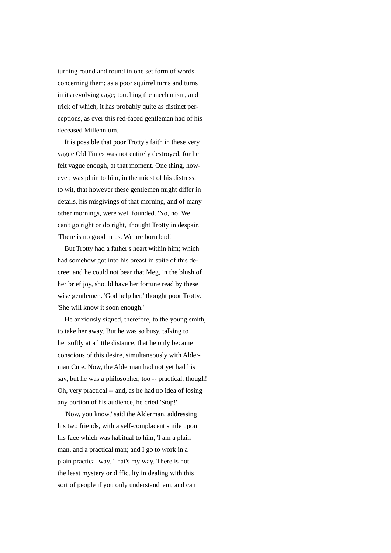turning round and round in one set form of words concerning them; as a poor squirrel turns and turns in its revolving cage; touching the mechanism, and trick of which, it has probably quite as distinct perceptions, as ever this red-faced gentleman had of his deceased Millennium.

 It is possible that poor Trotty's faith in these very vague Old Times was not entirely destroyed, for he felt vague enough, at that moment. One thing, however, was plain to him, in the midst of his distress; to wit, that however these gentlemen might differ in details, his misgivings of that morning, and of many other mornings, were well founded. 'No, no. We can't go right or do right,' thought Trotty in despair. 'There is no good in us. We are born bad!'

 But Trotty had a father's heart within him; which had somehow got into his breast in spite of this decree; and he could not bear that Meg, in the blush of her brief joy, should have her fortune read by these wise gentlemen. 'God help her,' thought poor Trotty. 'She will know it soon enough.'

 He anxiously signed, therefore, to the young smith, to take her away. But he was so busy, talking to her softly at a little distance, that he only became conscious of this desire, simultaneously with Alderman Cute. Now, the Alderman had not yet had his say, but he was a philosopher, too -- practical, though! Oh, very practical -- and, as he had no idea of losing any portion of his audience, he cried 'Stop!'

 'Now, you know,' said the Alderman, addressing his two friends, with a self-complacent smile upon his face which was habitual to him, 'I am a plain man, and a practical man; and I go to work in a plain practical way. That's my way. There is not the least mystery or difficulty in dealing with this sort of people if you only understand 'em, and can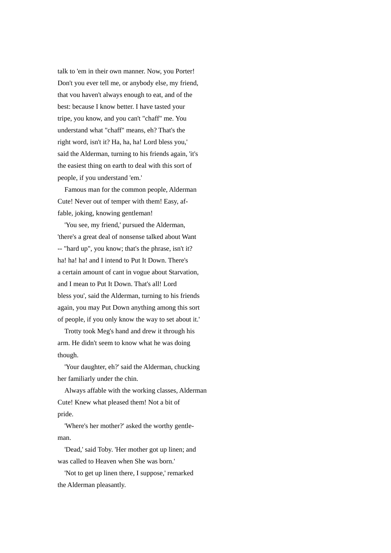talk to 'em in their own manner. Now, you Porter! Don't you ever tell me, or anybody else, my friend, that vou haven't always enough to eat, and of the best: because I know better. I have tasted your tripe, you know, and you can't "chaff" me. You understand what "chaff" means, eh? That's the right word, isn't it? Ha, ha, ha! Lord bless you,' said the Alderman, turning to his friends again, 'it's the easiest thing on earth to deal with this sort of people, if you understand 'em.'

 Famous man for the common people, Alderman Cute! Never out of temper with them! Easy, affable, joking, knowing gentleman!

 'You see, my friend,' pursued the Alderman, 'there's a great deal of nonsense talked about Want -- "hard up", you know; that's the phrase, isn't it? ha! ha! ha! and I intend to Put It Down. There's a certain amount of cant in vogue about Starvation, and I mean to Put It Down. That's all! Lord bless you', said the Alderman, turning to his friends again, you may Put Down anything among this sort of people, if you only know the way to set about it.'

 Trotty took Meg's hand and drew it through his arm. He didn't seem to know what he was doing though.

 'Your daughter, eh?' said the Alderman, chucking her familiarly under the chin.

 Always affable with the working classes, Alderman Cute! Knew what pleased them! Not a bit of pride.

 'Where's her mother?' asked the worthy gentleman.

 'Dead,' said Toby. 'Her mother got up linen; and was called to Heaven when She was born.'

 'Not to get up linen there, I suppose,' remarked the Alderman pleasantly.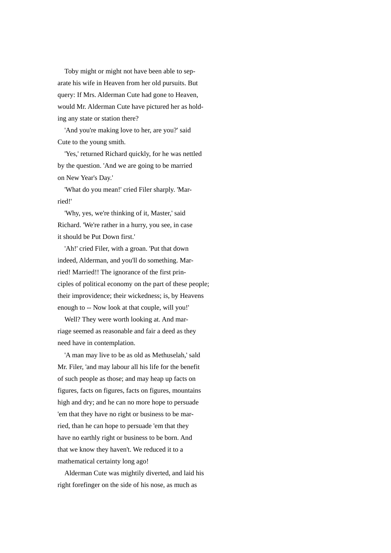Toby might or might not have been able to separate his wife in Heaven from her old pursuits. But query: If Mrs. Alderman Cute had gone to Heaven, would Mr. Alderman Cute have pictured her as holding any state or station there?

 'And you're making love to her, are you?' said Cute to the young smith.

 'Yes,' returned Richard quickly, for he was nettled by the question. 'And we are going to be married on New Year's Day.'

 'What do you mean!' cried Filer sharply. 'Married!'

 'Why, yes, we're thinking of it, Master,' said Richard. 'We're rather in a hurry, you see, in case it should be Put Down first.'

 'Ah!' cried Filer, with a groan. 'Put that down indeed, Alderman, and you'll do something. Married! Married!! The ignorance of the first principles of political economy on the part of these people; their improvidence; their wickedness; is, by Heavens enough to -- Now look at that couple, will you!'

 Well? They were worth looking at. And marriage seemed as reasonable and fair a deed as they need have in contemplation.

 'A man may live to be as old as Methuselah,' sald Mr. Filer, 'and may labour all his life for the benefit of such people as those; and may heap up facts on figures, facts on figures, facts on figures, mountains high and dry; and he can no more hope to persuade 'em that they have no right or business to be married, than he can hope to persuade 'em that they have no earthly right or business to be born. And that we know they haven't. We reduced it to a mathematical certainty long ago!

 Alderman Cute was mightily diverted, and laid his right forefinger on the side of his nose, as much as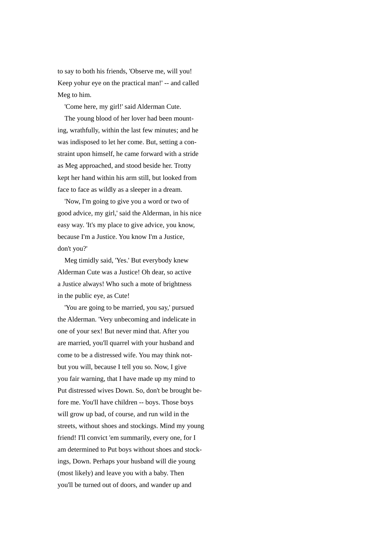to say to both his friends, 'Observe me, will you! Keep yohur eye on the practical man!' -- and called Meg to him.

'Come here, my girl!' said Alderman Cute.

 The young blood of her lover had been mounting, wrathfully, within the last few minutes; and he was indisposed to let her come. But, setting a constraint upon himself, he came forward with a stride as Meg approached, and stood beside her. Trotty kept her hand within his arm still, but looked from face to face as wildly as a sleeper in a dream.

 'Now, I'm going to give you a word or two of good advice, my girl,' said the Alderman, in his nice easy way. 'It's my place to give advice, you know, because I'm a Justice. You know I'm a Justice, don't you?'

 Meg timidly said, 'Yes.' But everybody knew Alderman Cute was a Justice! Oh dear, so active a Justice always! Who such a mote of brightness in the public eye, as Cute!

 'You are going to be married, you say,' pursued the Alderman. 'Very unbecoming and indelicate in one of your sex! But never mind that. After you are married, you'll quarrel with your husband and come to be a distressed wife. You may think notbut you will, because I tell you so. Now, I give you fair warning, that I have made up my mind to Put distressed wives Down. So, don't be brought before me. You'll have children -- boys. Those boys will grow up bad, of course, and run wild in the streets, without shoes and stockings. Mind my young friend! I'll convict 'em summarily, every one, for I am determined to Put boys without shoes and stockings, Down. Perhaps your husband will die young (most likely) and leave you with a baby. Then you'll be turned out of doors, and wander up and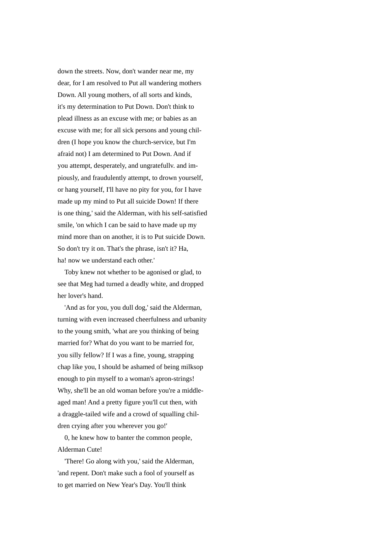down the streets. Now, don't wander near me, my dear, for I am resolved to Put all wandering mothers Down. All young mothers, of all sorts and kinds, it's my determination to Put Down. Don't think to plead illness as an excuse with me; or babies as an excuse with me; for all sick persons and young children (I hope you know the church-service, but I'm afraid not) I am determined to Put Down. And if you attempt, desperately, and ungratefullv. and impiously, and fraudulently attempt, to drown yourself, or hang yourself, I'll have no pity for you, for I have made up my mind to Put all suicide Down! If there is one thing,' said the Alderman, with his self-satisfied smile, 'on which I can be said to have made up my mind more than on another, it is to Put suicide Down. So don't try it on. That's the phrase, isn't it? Ha, ha! now we understand each other.'

 Toby knew not whether to be agonised or glad, to see that Meg had turned a deadly white, and dropped her lover's hand.

 'And as for you, you dull dog,' said the Alderman, turning with even increased cheerfulness and urbanity to the young smith, 'what are you thinking of being married for? What do you want to be married for, you silly fellow? If I was a fine, young, strapping chap like you, I should be ashamed of being milksop enough to pin myself to a woman's apron-strings! Why, she'll be an old woman before you're a middleaged man! And a pretty figure you'll cut then, with a draggle-tailed wife and a crowd of squalling children crying after you wherever you go!'

 0, he knew how to banter the common people, Alderman Cute!

 'There! Go along with you,' said the Alderman, 'and repent. Don't make such a fool of yourself as to get married on New Year's Day. You'll think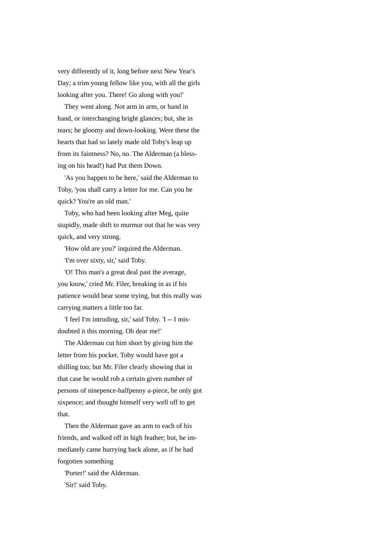very differently of it, long before next New Year's Day; a trim young fellow like you, with all the girls looking after you. There! Go along with you!'

 They went along. Not arm in arm, or hand in hand, or interchanging bright glances; but, she in tears; he gloomy and down-looking. Were these the hearts that had so lately made old Toby's leap up from its faintness? No, no. The Alderman (a blessing on his head!) had Put them Down.

 'As you happen to be here,' said the Alderman to Toby, 'you shall carry a letter for me. Can you be quick? You're an old man.'

 Toby, who had been looking after Meg, quite stupidly, made shift to murmur out that he was very quick, and very strong.

'How old are you?' inquired the Alderman.

'I'm over sixty, sir,' said Toby.

 'O! This man's a great deal past the average, you know,' cried Mr. Filer, breaking in as if his patience would bear some trying, but this really was carrying matters a little too far.

 'I feel I'm intruding, sir,' said Toby. 'I -- I misdoubted it this morning. Oh dear me!'

 The Alderman cut him short by giving him the letter from his pocket. Toby would have got a shilling too; but Mr. Filer clearly showing that in that case he would rob a certain given number of persons of ninepence-halfpenny a-piece, he only got sixpence; and thought himself very well off to get that.

 Then the Alderman gave an arm to each of his friends, and walked off in high feather; but, he immediately came hurrying back alone, as if he had forgotten something

 'Porter!' said the Alderman. 'Sir!' said Toby.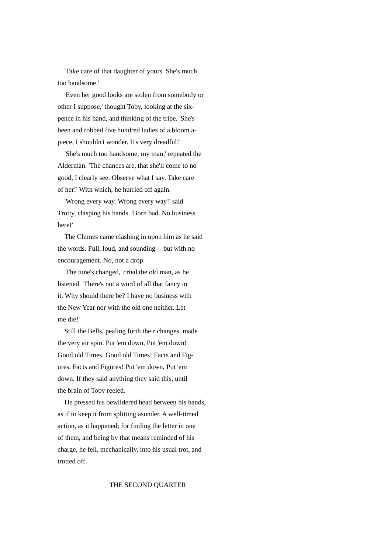'Take care of that daughter of yours. She's much too handsome.'

 'Even her good looks are stolen from somebody or other I suppose,' thought Toby, looking at the sixpence in his hand, and thinking of the tripe. 'She's been and robbed five hundred ladies of a bloom apiece, I shouldn't wonder. It's very dreadful!'

 'She's much too handsome, my man,' repeated the Alderman. 'The chances are, that she'll come to no good, I clearly see. Observe what I say. Take care of her!' With which, he hurried off again.

 'Wrong every way. Wrong every way!' said Trotty, clasping his hands. 'Born bad. No business here!'

 The Chimes came clashing in upon him as he said the words. Full, loud, and sounding -- but with no encouragement. No, not a drop.

 'The tune's changed,' cried the old man, as he listened. 'There's not a word of all that fancy in it. Why should there be? I have no business with the New Year nor with the old one neither. Let me die!'

 Still the Bells, pealing forth their changes, made the very air spin. Put 'em down, Put 'em down! Good old Times, Good old Times! Facts and Figures, Facts and Figures! Put 'em down, Put 'em down. If they said anything they said this, until the brain of Toby reeled.

 He pressed his bewildered head between his hands, as if to keep it from splitting asunder. A well-timed action, as it happened; for finding the letter in one of them, and being by that means reminded of his charge, he fell, mechanically, into his usual trot, and trotted off.

## THE SECOND QUARTER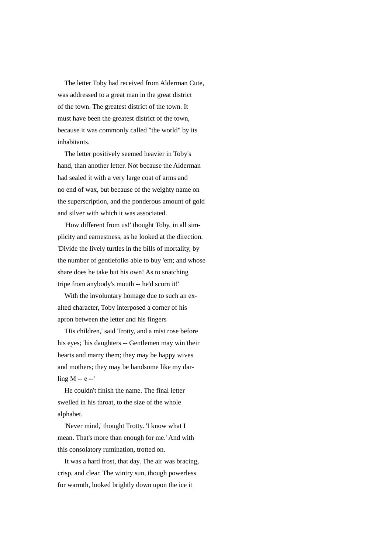The letter Toby had received from Alderman Cute, was addressed to a great man in the great district of the town. The greatest district of the town. It must have been the greatest district of the town, because it was commonly called "the world" by its inhabitants.

 The letter positively seemed heavier in Toby's hand, than another letter. Not because the Alderman had sealed it with a very large coat of arms and no end of wax, but because of the weighty name on the superscription, and the ponderous amount of gold and silver with which it was associated.

 'How different from us!' thought Toby, in all simplicity and earnestness, as he looked at the direction. 'Divide the lively turtles in the bills of mortality, by the number of gentlefolks able to buy 'em; and whose share does he take but his own! As to snatching tripe from anybody's mouth -- he'd scorn it!'

 With the involuntary homage due to such an exalted character, Toby interposed a corner of his apron between the letter and his fingers

 'His children,' said Trotty, and a mist rose before his eyes; 'his daughters -- Gentlemen may win their hearts and marry them; they may be happy wives and mothers; they may be handsome like my darling M -- e --'

 He couldn't finish the name. The final letter swelled in his throat, to the size of the whole alphabet.

 'Never mind,' thought Trotty. 'I know what I mean. That's more than enough for me.' And with this consolatory rumination, trotted on.

 It was a hard frost, that day. The air was bracing, crisp, and clear. The wintry sun, though powerless for warmth, looked brightly down upon the ice it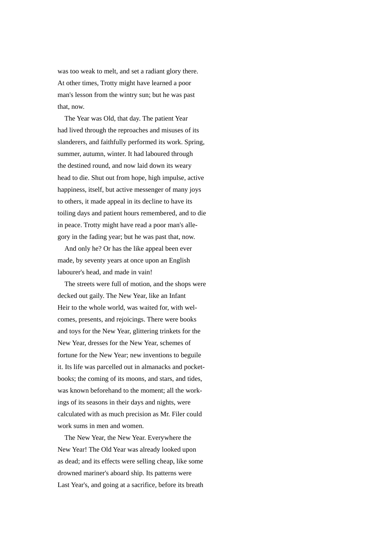was too weak to melt, and set a radiant glory there. At other times, Trotty might have learned a poor man's lesson from the wintry sun; but he was past that, now.

 The Year was Old, that day. The patient Year had lived through the reproaches and misuses of its slanderers, and faithfully performed its work. Spring, summer, autumn, winter. It had laboured through the destined round, and now laid down its weary head to die. Shut out from hope, high impulse, active happiness, itself, but active messenger of many joys to others, it made appeal in its decline to have its toiling days and patient hours remembered, and to die in peace. Trotty might have read a poor man's allegory in the fading year; but he was past that, now.

 And only he? Or has the like appeal been ever made, by seventy years at once upon an English labourer's head, and made in vain!

 The streets were full of motion, and the shops were decked out gaily. The New Year, like an Infant Heir to the whole world, was waited for, with welcomes, presents, and rejoicings. There were books and toys for the New Year, glittering trinkets for the New Year, dresses for the New Year, schemes of fortune for the New Year; new inventions to beguile it. Its life was parcelled out in almanacks and pocketbooks; the coming of its moons, and stars, and tides, was known beforehand to the moment; all the workings of its seasons in their days and nights, were calculated with as much precision as Mr. Filer could work sums in men and women.

 The New Year, the New Year. Everywhere the New Year! The Old Year was already looked upon as dead; and its effects were selling cheap, like some drowned mariner's aboard ship. Its patterns were Last Year's, and going at a sacrifice, before its breath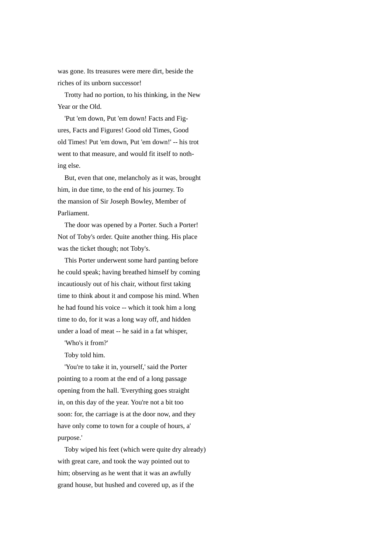was gone. Its treasures were mere dirt, beside the riches of its unborn successor!

 Trotty had no portion, to his thinking, in the New Year or the Old.

 'Put 'em down, Put 'em down! Facts and Figures, Facts and Figures! Good old Times, Good old Times! Put 'em down, Put 'em down!' -- his trot went to that measure, and would fit itself to nothing else.

 But, even that one, melancholy as it was, brought him, in due time, to the end of his journey. To the mansion of Sir Joseph Bowley, Member of Parliament.

 The door was opened by a Porter. Such a Porter! Not of Toby's order. Quite another thing. His place was the ticket though; not Toby's.

 This Porter underwent some hard panting before he could speak; having breathed himself by coming incautiously out of his chair, without first taking time to think about it and compose his mind. When he had found his voice -- which it took him a long time to do, for it was a long way off, and hidden under a load of meat -- he said in a fat whisper,

'Who's it from?'

Toby told him.

 'You're to take it in, yourself,' said the Porter pointing to a room at the end of a long passage opening from the hall. 'Everything goes straight in, on this day of the year. You're not a bit too soon: for, the carriage is at the door now, and they have only come to town for a couple of hours, a' purpose.'

 Toby wiped his feet (which were quite dry already) with great care, and took the way pointed out to him; observing as he went that it was an awfully grand house, but hushed and covered up, as if the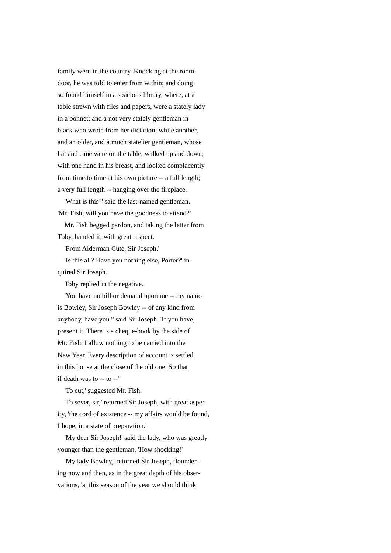family were in the country. Knocking at the roomdoor, he was told to enter from within; and doing so found himself in a spacious library, where, at a table strewn with files and papers, were a stately lady in a bonnet; and a not very stately gentleman in black who wrote from her dictation; while another, and an older, and a much statelier gentleman, whose hat and cane were on the table, walked up and down, with one hand in his breast, and looked complacently from time to time at his own picture -- a full length; a very full length -- hanging over the fireplace.

 'What is this?' said the last-named gentleman. 'Mr. Fish, will you have the goodness to attend?'

 Mr. Fish begged pardon, and taking the letter from Toby, handed it, with great respect.

'From Alderman Cute, Sir Joseph.'

 'Is this all? Have you nothing else, Porter?' inquired Sir Joseph.

Toby replied in the negative.

 'You have no bill or demand upon me -- my namo is Bowley, Sir Joseph Bowley -- of any kind from anybody, have you?' said Sir Joseph. 'If you have, present it. There is a cheque-book by the side of Mr. Fish. I allow nothing to be carried into the New Year. Every description of account is settled in this house at the close of the old one. So that if death was to -- to --'

'To cut,' suggested Mr. Fish.

 'To sever, sir,' returned Sir Joseph, with great asperity, 'the cord of existence -- my affairs would be found, I hope, in a state of preparation.'

 'My dear Sir Joseph!' said the lady, who was greatly younger than the gentleman. 'How shocking!'

 'My lady Bowley,' returned Sir Joseph, floundering now and then, as in the great depth of his observations, 'at this season of the year we should think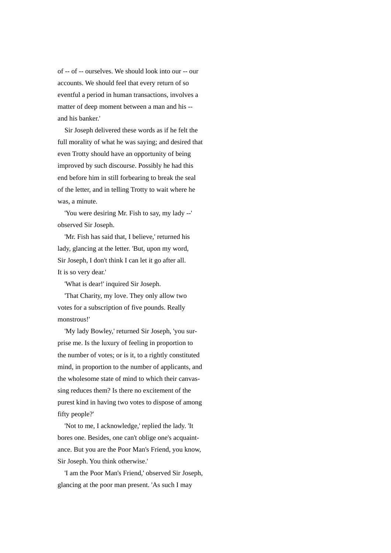of -- of -- ourselves. We should look into our -- our accounts. We should feel that every return of so eventful a period in human transactions, involves a matter of deep moment between a man and his - and his banker.'

 Sir Joseph delivered these words as if he felt the full morality of what he was saying; and desired that even Trotty should have an opportunity of being improved by such discourse. Possibly he had this end before him in still forbearing to break the seal of the letter, and in telling Trotty to wait where he was, a minute.

 'You were desiring Mr. Fish to say, my lady --' observed Sir Joseph.

 'Mr. Fish has said that, I believe,' returned his lady, glancing at the letter. 'But, upon my word, Sir Joseph, I don't think I can let it go after all. It is so very dear.'

'What is dear!' inquired Sir Joseph.

 'That Charity, my love. They only allow two votes for a subscription of five pounds. Really monstrous!'

 'My lady Bowley,' returned Sir Joseph, 'you surprise me. Is the luxury of feeling in proportion to the number of votes; or is it, to a rightly constituted mind, in proportion to the number of applicants, and the wholesome state of mind to which their canvassing reduces them? Is there no excitement of the purest kind in having two votes to dispose of among fifty people?'

 'Not to me, I acknowledge,' replied the lady. 'It bores one. Besides, one can't oblige one's acquaintance. But you are the Poor Man's Friend, you know, Sir Joseph. You think otherwise.'

 'I am the Poor Man's Friend,' observed Sir Joseph, glancing at the poor man present. 'As such I may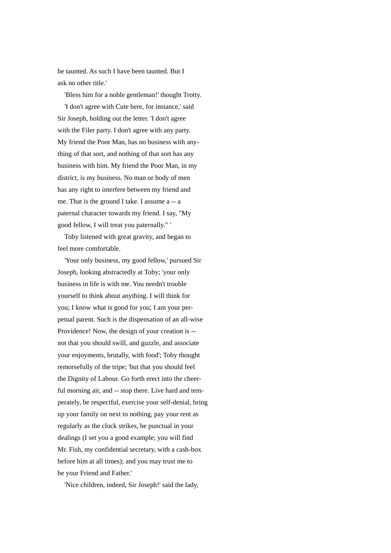be taunted. As such I have been taunted. But I ask no other title.'

 'Bless him for a noble gentleman!' thought Trotty. 'I don't agree with Cute here, for instance,' said Sir Joseph, holding out the letter. 'I don't agree with the Filer party. I don't agree with any party. My friend the Poor Man, has no business with anything of that sort, and nothing of that sort has any business with him. My friend the Poor Man, in my district, is my business. No man or body of men has any right to interfere between my friend and me. That is the ground I take. I assume a -- a paternal character towards my friend. I say, "My good fellow, I will treat you paternally." '

 Toby listened with great gravity, and began to feel more comfortable.

 'Your only business, my good fellow,' pursued Sir Joseph, looking abstractedly at Toby; 'your only business in life is with me. You needn't trouble yourself to think about anything. I will think for you; I know what is good for you; I am your perpetual parent. Such is the dispensation of an all-wise Providence! Now, the design of your creation is - not that you should swill, and guzzle, and associate your enjoyments, brutally, with food'; Toby thought remorsefully of the tripe; 'but that you should feel the Dignity of Labour. Go forth erect into the cheerful morning air, and -- stop there. Live hard and temperately, be respectful, exercise your self-denial, bring up your family on next to nothing, pay your rent as regularly as the clock strikes, be punctual in your dealings (I set you a good example; you will find Mr. Fish, my confidential secretary, with a cash-box before him at all times); and you may trust me to be your Friend and Father.'

'Nice children, indeed, Sir Joseph!' said the lady,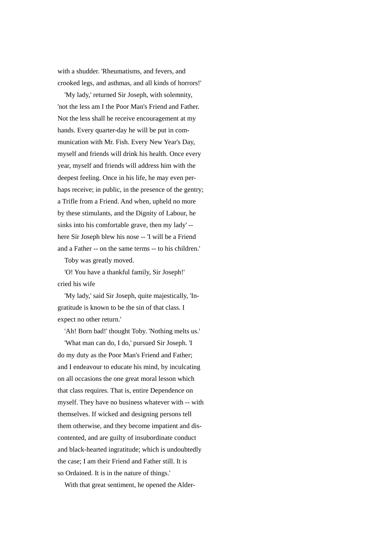with a shudder. 'Rheumatisms, and fevers, and crooked legs, and asthmas, and all kinds of horrors!'

 'My lady,' returned Sir Joseph, with solemnity, 'not the less am I the Poor Man's Friend and Father. Not the less shall he receive encouragement at my hands. Every quarter-day he will be put in communication with Mr. Fish. Every New Year's Day, myself and friends will drink his health. Once every year, myself and friends will address him with the deepest feeling. Once in his life, he may even perhaps receive; in public, in the presence of the gentry; a Trifle from a Friend. And when, upheld no more by these stimulants, and the Dignity of Labour, he sinks into his comfortable grave, then my lady' - here Sir Joseph blew his nose -- 'I will be a Friend and a Father -- on the same terms -- to his children.'

Toby was greatly moved.

 'O! You have a thankful family, Sir Joseph!' cried his wife

 'My lady,' said Sir Joseph, quite majestically, 'Ingratitude is known to be the sin of that class. I expect no other return.'

 'Ah! Born bad!' thought Toby. 'Nothing melts us.' 'What man can do, I do,' pursued Sir Joseph. 'I do my duty as the Poor Man's Friend and Father; and I endeavour to educate his mind, by inculcating on all occasions the one great moral lesson which that class requires. That is, entire Dependence on myself. They have no business whatever with -- with themselves. If wicked and designing persons tell them otherwise, and they become impatient and discontented, and are guilty of insubordinate conduct and black-hearted ingratitude; which is undoubtedly the case; I am their Friend and Father still. It is so Ordained. It is in the nature of things.'

With that great sentiment, he opened the Alder-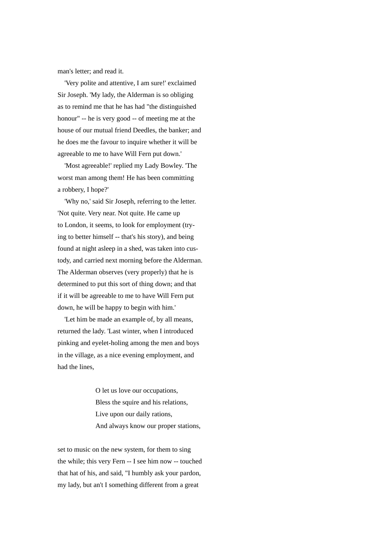man's letter; and read it.

 'Very polite and attentive, I am sure!' exclaimed Sir Joseph. 'My lady, the Alderman is so obliging as to remind me that he has had "the distinguished honour" -- he is very good -- of meeting me at the house of our mutual friend Deedles, the banker; and he does me the favour to inquire whether it will be agreeable to me to have Will Fern put down.'

 'Most agreeable!' replied my Lady Bowley. 'The worst man among them! He has been committing a robbery, I hope?'

 'Why no,' said Sir Joseph, referring to the letter. 'Not quite. Very near. Not quite. He came up to London, it seems, to look for employment (trying to better himself -- that's his story), and being found at night asleep in a shed, was taken into custody, and carried next morning before the Alderman. The Alderman observes (very properly) that he is determined to put this sort of thing down; and that if it will be agreeable to me to have Will Fern put down, he will be happy to begin with him.'

 'Let him be made an example of, by all means, returned the lady. 'Last winter, when I introduced pinking and eyelet-holing among the men and boys in the village, as a nice evening employment, and had the lines,

> O let us love our occupations, Bless the squire and his relations, Live upon our daily rations, And always know our proper stations,

set to music on the new system, for them to sing the while; this very Fern -- I see him now -- touched that hat of his, and said, "I humbly ask your pardon, my lady, but an't I something different from a great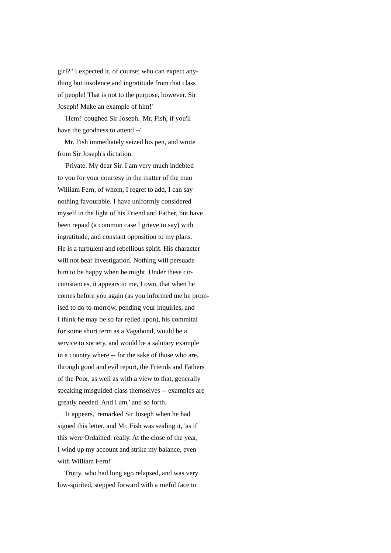girl?" I expected it, of course; who can expect anything but insolence and ingratitude from that class of people! That is not to the purpose, however. Sir Joseph! Make an example of him!'

 'Hem!' coughed Sir Joseph. 'Mr. Fish, if you'll have the goodness to attend --'

 Mr. Fish immediately seized his pen, and wrote from Sir Joseph's dictation.

 'Private. My dear Sir. I am very much indebted to you for your courtesy in the matter of the man William Fern, of whom, I regret to add, I can say nothing favourable. I have uniformly considered myself in the light of his Friend and Father, but have been repaid (a common case I grieve to say) with ingratitude, and constant opposition to my plans. He is a turbulent and rebellious spirit. His character will not bear investigation. Nothing will persuade him to be happy when he might. Under these circumstances, it appears to me, I own, that when he comes before you again (as you informed me he promised to do to-morrow, pending your inquiries, and I think he may be so far relied upon), his commital for some short term as a Vagabond, would be a service to society, and would be a salutary example in a country where -- for the sake of those who are, through good and evil report, the Friends and Fathers of the Poor, as well as with a view to that, generally speaking misguided class themselves -- examples are greatly needed. And I am,' and so forth.

 'It appears,' remarked Sir Joseph when he had signed this letter, and Mr. Fish was sealing it, 'as if this were Ordained: really. At the close of the year, I wind up my account and strike my balance, even with William Fern!'

 Trotty, who had long ago relapsed, and was very low-spirited, stepped forward with a rueful face to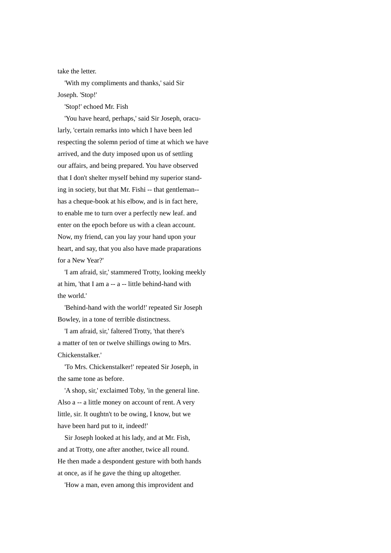take the letter.

 'With my compliments and thanks,' said Sir Joseph. 'Stop!'

'Stop!' echoed Mr. Fish

 'You have heard, perhaps,' said Sir Joseph, oracularly, 'certain remarks into which I have been led respecting the solemn period of time at which we have arrived, and the duty imposed upon us of settling our affairs, and being prepared. You have observed that I don't shelter myself behind my superior standing in society, but that Mr. Fishi -- that gentleman- has a cheque-book at his elbow, and is in fact here, to enable me to turn over a perfectly new leaf. and enter on the epoch before us with a clean account. Now, my friend, can you lay your hand upon your heart, and say, that you also have made praparations for a New Year?'

 'I am afraid, sir,' stammered Trotty, looking meekly at him, 'that I am a -- a -- little behind-hand with the world.'

 'Behind-hand with the world!' repeated Sir Joseph Bowley, in a tone of terrible distinctness.

 'I am afraid, sir,' faltered Trotty, 'that there's a matter of ten or twelve shillings owing to Mrs. Chickenstalker.'

 'To Mrs. Chickenstalker!' repeated Sir Joseph, in the same tone as before.

 'A shop, sir,' exclaimed Toby, 'in the general line. Also a -- a little money on account of rent. A very little, sir. It oughtn't to be owing, I know, but we have been hard put to it, indeed!'

 Sir Joseph looked at his lady, and at Mr. Fish, and at Trotty, one after another, twice all round. He then made a despondent gesture with both hands at once, as if he gave the thing up altogether.

'How a man, even among this improvident and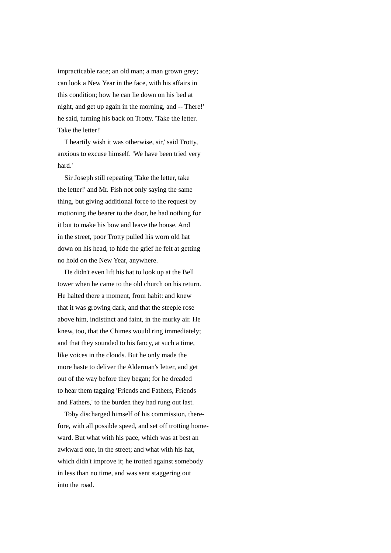impracticable race; an old man; a man grown grey; can look a New Year in the face, with his affairs in this condition; how he can lie down on his bed at night, and get up again in the morning, and -- There!' he said, turning his back on Trotty. 'Take the letter. Take the letter!'

 'I heartily wish it was otherwise, sir,' said Trotty, anxious to excuse himself. 'We have been tried very hard.'

 Sir Joseph still repeating 'Take the letter, take the letter!' and Mr. Fish not only saying the same thing, but giving additional force to the request by motioning the bearer to the door, he had nothing for it but to make his bow and leave the house. And in the street, poor Trotty pulled his worn old hat down on his head, to hide the grief he felt at getting no hold on the New Year, anywhere.

 He didn't even lift his hat to look up at the Bell tower when he came to the old church on his return. He halted there a moment, from habit: and knew that it was growing dark, and that the steeple rose above him, indistinct and faint, in the murky air. He knew, too, that the Chimes would ring immediately; and that they sounded to his fancy, at such a time, like voices in the clouds. But he only made the more haste to deliver the Alderman's letter, and get out of the way before they began; for he dreaded to hear them tagging 'Friends and Fathers, Friends and Fathers,' to the burden they had rung out last.

 Toby discharged himself of his commission, therefore, with all possible speed, and set off trotting homeward. But what with his pace, which was at best an awkward one, in the street; and what with his hat, which didn't improve it; he trotted against somebody in less than no time, and was sent staggering out into the road.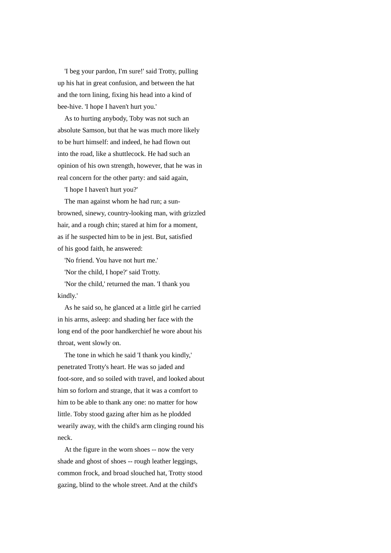'I beg your pardon, I'm sure!' said Trotty, pulling up his hat in great confusion, and between the hat and the torn lining, fixing his head into a kind of bee-hive. 'I hope I haven't hurt you.'

 As to hurting anybody, Toby was not such an absolute Samson, but that he was much more likely to be hurt himself: and indeed, he had flown out into the road, like a shuttlecock. He had such an opinion of his own strength, however, that he was in real concern for the other party: and said again,

'I hope I haven't hurt you?'

 The man against whom he had run; a sunbrowned, sinewy, country-looking man, with grizzled hair, and a rough chin; stared at him for a moment, as if he suspected him to be in jest. But, satisfied of his good faith, he answered:

'No friend. You have not hurt me.'

'Nor the child, I hope?' said Trotty.

 'Nor the child,' returned the man. 'I thank you kindly.'

 As he said so, he glanced at a little girl he carried in his arms, asleep: and shading her face with the long end of the poor handkerchief he wore about his throat, went slowly on.

 The tone in which he said 'I thank you kindly,' penetrated Trotty's heart. He was so jaded and foot-sore, and so soiled with travel, and looked about him so forlorn and strange, that it was a comfort to him to be able to thank any one: no matter for how little. Toby stood gazing after him as he plodded wearily away, with the child's arm clinging round his neck.

 At the figure in the worn shoes -- now the very shade and ghost of shoes -- rough leather leggings, common frock, and broad slouched hat, Trotty stood gazing, blind to the whole street. And at the child's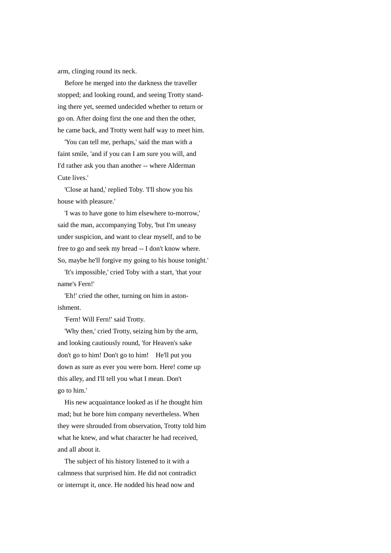arm, clinging round its neck.

 Before he merged into the darkness the traveller stopped; and looking round, and seeing Trotty standing there yet, seemed undecided whether to return or go on. After doing first the one and then the other, he came back, and Trotty went half way to meet him.

 'You can tell me, perhaps,' said the man with a faint smile, 'and if you can I am sure you will, and I'd rather ask you than another -- where Alderman Cute lives.'

 'Close at hand,' replied Toby. 'I'll show you his house with pleasure.'

 'I was to have gone to him elsewhere to-morrow,' said the man, accompanying Toby, 'but I'm uneasy under suspicion, and want to clear myself, and to be free to go and seek my bread -- I don't know where. So, maybe he'll forgive my going to his house tonight.'

 'It's impossible,' cried Toby with a start, 'that your name's Fern!'

 'Eh!' cried the other, turning on him in astonishment.

'Fern! Will Fern!' said Trotty.

 'Why then,' cried Trotty, seizing him by the arm, and looking cautiously round, 'for Heaven's sake don't go to him! Don't go to him! He'll put you down as sure as ever you were born. Here! come up this alley, and I'll tell you what I mean. Don't go to him.'

 His new acquaintance looked as if he thought him mad; but he bore him company nevertheless. When they were shrouded from observation, Trotty told him what he knew, and what character he had received, and all about it.

 The subject of his history listened to it with a calmness that surprised him. He did not contradict or interrupt it, once. He nodded his head now and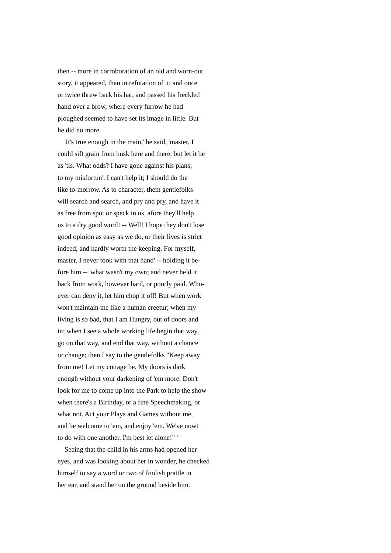then -- more in corroboration of an old and worn-out story, it appeared, than in refutation of it; and once or twice threw back his hat, and passed his freckled hand over a brow, where every furrow he had ploughed seemed to have set its image in little. But he did no more.

 'It's true enough in the main,' he said, 'master, I could sift grain from husk here and there, but let it be as 'tis. What odds? I have gone against his plans; to my misfortun'. I can't help it; I should do the like to-morrow. As to character, them gentlefolks will search and search, and pry and pry, and have it as free from spot or speck in us, afore they'll help us to a dry good word! -- Well! I hope they don't lose good opinion as easy as we do, or their lives is strict indeed, and hardly worth the keeping. For myself, master, I never took with that hand' -- holding it before him -- 'what wasn't my own; and never held it back from work, however hard, or poorly paid. Whoever can deny it, let him chop it off! But when work won't maintain me like a human creetur; when my living is so bad, that I am Hungry, out of doors and in; when I see a whole working life begin that way, go on that way, and end that way, without a chance or change; then I say to the gentlefolks "Keep away from me! Let my cottage be. My doors is dark enough without your darkening of 'em more. Don't look for me to come up into the Park to help the show when there's a Birthday, or a fine Speechmaking, or what not. Act your Plays and Games without me, and be welcome to 'em, and enjoy 'em. We've nowt to do with one another. I'm best let alone!" '

 Seeing that the child in his arms had opened her eyes, and was looking about her in wonder, he checked himself to say a word or two of foolish prattle in her ear, and stand her on the ground beside him.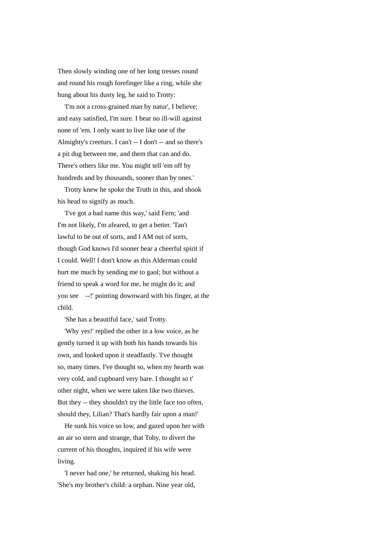Then slowly winding one of her long tresses round and round his rough forefinger like a ring, while she hung about his dusty leg, he said to Trotty:

 'I'm not a cross-grained man by natur', I believe; and easy satisfied, I'm sure. I bear no ill-will against none of 'em. I only want to live like one of the Almighty's creeturs. I can't -- I don't -- and so there's a pit dug between me, and them that can and do. There's others like me. You might tell 'em off by hundreds and by thousands, sooner than by ones.'

 Trotty knew he spoke the Truth in this, and shook his head to signify as much.

 'I've got a bad name this way,' said Fern; 'and I'm not likely, I'm afeared, to get a better. 'Tan't lawful to be out of sorts, and I AM out of sorts, though God knows I'd sooner bear a cheerful spirit if I could. Well! I don't know as this Alderman could hurt me much by sending me to gaol; but without a friend to speak a word for me, he might do it; and you see --!' pointing downward with his finger, at the child.

'She has a beautiful face,' said Trotty.

 'Why yes!' replied the other in a low voice, as he gently turned it up with both his hands towards his own, and looked upon it steadfastly. 'I've thought so, many times. I've thought so, when my hearth was very cold, and cupboard very bare. I thought so t' other night, when we were taken like two thieves. But they -- they shouldn't try the little face too often, should they, Lilian? That's hardly fair upon a man!'

 He sunk his voice so low, and gazed upon her with an air so stern and strange, that Toby, to divert the current of his thoughts, inquired if his wife were living.

 'I never had one,' he returned, shaking his head. 'She's my brother's child: a orphan. Nine year old,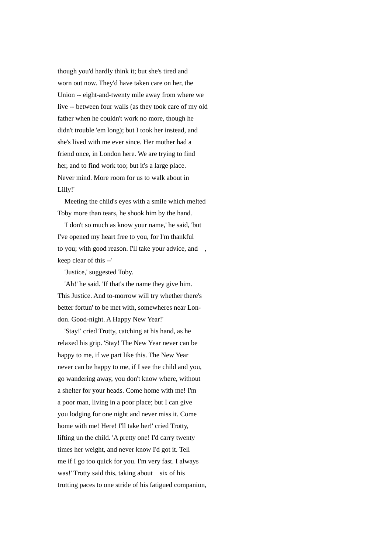though you'd hardly think it; but she's tired and worn out now. They'd have taken care on her, the Union -- eight-and-twenty mile away from where we live -- between four walls (as they took care of my old father when he couldn't work no more, though he didn't trouble 'em long); but I took her instead, and she's lived with me ever since. Her mother had a friend once, in London here. We are trying to find her, and to find work too; but it's a large place. Never mind. More room for us to walk about in Lilly!'

 Meeting the child's eyes with a smile which melted Toby more than tears, he shook him by the hand.

 'I don't so much as know your name,' he said, 'but I've opened my heart free to you, for I'm thankful to you; with good reason. I'll take your advice, and , keep clear of this --'

'Justice,' suggested Toby.

 'Ah!' he said. 'If that's the name they give him. This Justice. And to-morrow will try whether there's better fortun' to be met with, somewheres near London. Good-night. A Happy New Year!'

 'Stay!' cried Trotty, catching at his hand, as he relaxed his grip. 'Stay! The New Year never can be happy to me, if we part like this. The New Year never can be happy to me, if I see the child and you, go wandering away, you don't know where, without a shelter for your heads. Come home with me! I'm a poor man, living in a poor place; but I can give you lodging for one night and never miss it. Come home with me! Here! I'll take her!' cried Trotty, lifting un the child. 'A pretty one! I'd carry twenty times her weight, and never know I'd got it. Tell me if I go too quick for you. I'm very fast. I always was!' Trotty said this, taking about six of his trotting paces to one stride of his fatigued companion,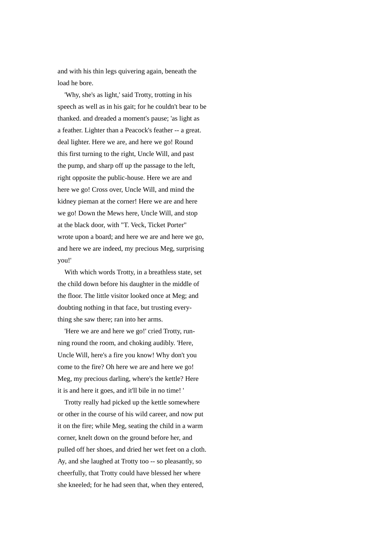and with his thin legs quivering again, beneath the load he bore.

 'Why, she's as light,' said Trotty, trotting in his speech as well as in his gait; for he couldn't bear to be thanked. and dreaded a moment's pause; 'as light as a feather. Lighter than a Peacock's feather -- a great. deal lighter. Here we are, and here we go! Round this first turning to the right, Uncle Will, and past the pump, and sharp off up the passage to the left, right opposite the public-house. Here we are and here we go! Cross over, Uncle Will, and mind the kidney pieman at the corner! Here we are and here we go! Down the Mews here, Uncle Will, and stop at the black door, with "T. Veck, Ticket Porter" wrote upon a board; and here we are and here we go, and here we are indeed, my precious Meg, surprising you!'

 With which words Trotty, in a breathless state, set the child down before his daughter in the middle of the floor. The little visitor looked once at Meg; and doubting nothing in that face, but trusting everything she saw there; ran into her arms.

 'Here we are and here we go!' cried Trotty, running round the room, and choking audibly. 'Here, Uncle Will, here's a fire you know! Why don't you come to the fire? Oh here we are and here we go! Meg, my precious darling, where's the kettle? Here it is and here it goes, and it'll bile in no time! '

 Trotty really had picked up the kettle somewhere or other in the course of his wild career, and now put it on the fire; while Meg, seating the child in a warm corner, knelt down on the ground before her, and pulled off her shoes, and dried her wet feet on a cloth. Ay, and she laughed at Trotty too -- so pleasantly, so cheerfully, that Trotty could have blessed her where she kneeled; for he had seen that, when they entered,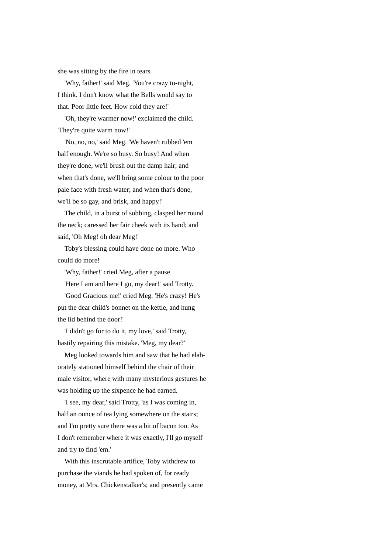she was sitting by the fire in tears.

'Why, father!' said Meg. 'You're crazy to-night, I think. I don't know what the Bells would say to that. Poor little feet. How cold they are!'

 'Oh, they're warmer now!' exclaimed the child. 'They're quite warm now!'

 'No, no, no,' said Meg. 'We haven't rubbed 'em half enough. We're so busy. So busy! And when they're done, we'll brush out the damp hair; and when that's done, we'll bring some colour to the poor pale face with fresh water; and when that's done, we'll be so gay, and brisk, and happy!'

 The child, in a burst of sobbing, clasped her round the neck; caressed her fair cheek with its hand; and said, 'Oh Meg! oh dear Meg!'

 Toby's blessing could have done no more. Who could do more!

'Why, father!' cried Meg, after a pause.

'Here I am and here I go, my dear!' said Trotty.

 'Good Gracious me!' cried Meg. 'He's crazy! He's put the dear child's bonnet on the kettle, and hung the lid behind the door!'

 'I didn't go for to do it, my love,' said Trotty, hastily repairing this mistake. 'Meg, my dear?'

 Meg looked towards him and saw that he had elaborately stationed himself behind the chair of their male visitor, where with many mysterious gestures he was holding up the sixpence he had earned.

 'I see, my dear,' said Trotty, 'as I was coming in, half an ounce of tea lying somewhere on the stairs; and I'm pretty sure there was a bit of bacon too. As I don't remember where it was exactly, I'll go myself and try to find 'em.'

 With this inscrutable artifice, Toby withdrew to purchase the viands he had spoken of, for ready money, at Mrs. Chickenstalker's; and presently came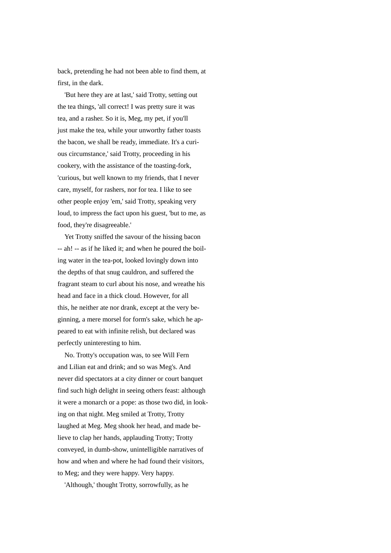back, pretending he had not been able to find them, at first, in the dark.

 'But here they are at last,' said Trotty, setting out the tea things, 'all correct! I was pretty sure it was tea, and a rasher. So it is, Meg, my pet, if you'll just make the tea, while your unworthy father toasts the bacon, we shall be ready, immediate. It's a curious circumstance,' said Trotty, proceeding in his cookery, with the assistance of the toasting-fork, 'curious, but well known to my friends, that I never care, myself, for rashers, nor for tea. I like to see other people enjoy 'em,' said Trotty, speaking very loud, to impress the fact upon his guest, 'but to me, as food, they're disagreeable.'

 Yet Trotty sniffed the savour of the hissing bacon -- ah! -- as if he liked it; and when he poured the boiling water in the tea-pot, looked lovingly down into the depths of that snug cauldron, and suffered the fragrant steam to curl about his nose, and wreathe his head and face in a thick cloud. However, for all this, he neither ate nor drank, except at the very beginning, a mere morsel for form's sake, which he appeared to eat with infinite relish, but declared was perfectly uninteresting to him.

 No. Trotty's occupation was, to see Will Fern and Lilian eat and drink; and so was Meg's. And never did spectators at a city dinner or court banquet find such high delight in seeing others feast: although it were a monarch or a pope: as those two did, in looking on that night. Meg smiled at Trotty, Trotty laughed at Meg. Meg shook her head, and made believe to clap her hands, applauding Trotty; Trotty conveyed, in dumb-show, unintelligible narratives of how and when and where he had found their visitors, to Meg; and they were happy. Very happy.

'Although,' thought Trotty, sorrowfully, as he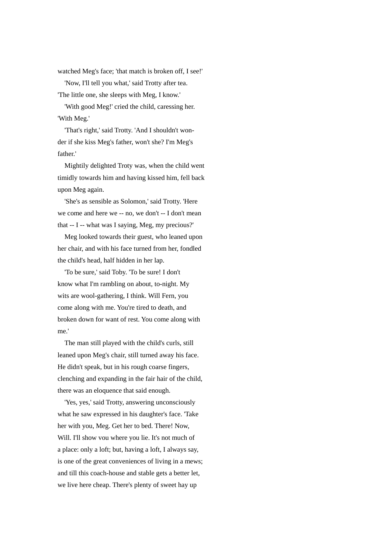watched Meg's face; 'that match is broken off, I see!'

'Now, I'll tell you what,' said Trotty after tea.

'The little one, she sleeps with Meg, I know.'

 'With good Meg!' cried the child, caressing her. 'With Meg.'

 'That's right,' said Trotty. 'And I shouldn't wonder if she kiss Meg's father, won't she? I'm Meg's father.'

 Mightily delighted Troty was, when the child went timidly towards him and having kissed him, fell back upon Meg again.

 'She's as sensible as Solomon,' said Trotty. 'Here we come and here we -- no, we don't -- I don't mean that -- I -- what was I saying, Meg, my precious?'

 Meg looked towards their guest, who leaned upon her chair, and with his face turned from her, fondled the child's head, half hidden in her lap.

 'To be sure,' said Toby. 'To be sure! I don't know what I'm rambling on about, to-night. My wits are wool-gathering, I think. Will Fern, you come along with me. You're tired to death, and broken down for want of rest. You come along with me.'

 The man still played with the child's curls, still leaned upon Meg's chair, still turned away his face. He didn't speak, but in his rough coarse fingers, clenching and expanding in the fair hair of the child, there was an eloquence that said enough.

 'Yes, yes,' said Trotty, answering unconsciously what he saw expressed in his daughter's face. 'Take her with you, Meg. Get her to bed. There! Now, Will. I'll show vou where you lie. It's not much of a place: only a loft; but, having a loft, I always say, is one of the great conveniences of living in a mews; and till this coach-house and stable gets a better let, we live here cheap. There's plenty of sweet hay up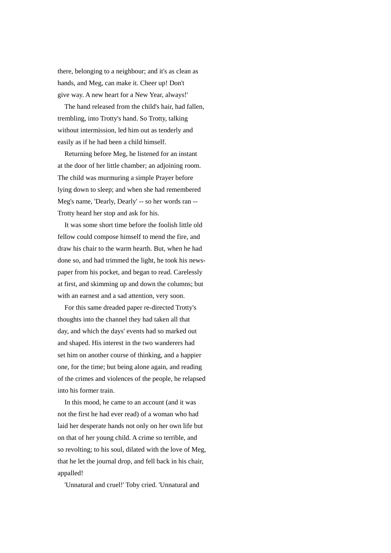there, belonging to a neighbour; and it's as clean as hands, and Meg, can make it. Cheer up! Don't give way. A new heart for a New Year, always!'

 The hand released from the child's hair, had fallen, trembling, into Trotty's hand. So Trotty, talking without intermission, led him out as tenderly and easily as if he had been a child himself.

 Returning before Meg, he listened for an instant at the door of her little chamber; an adjoining room. The child was murmuring a simple Prayer before lying down to sleep; and when she had remembered Meg's name, 'Dearly, Dearly' -- so her words ran -- Trotty heard her stop and ask for his.

 It was some short time before the foolish little old fellow could compose himself to mend the fire, and draw his chair to the warm hearth. But, when he had done so, and had trimmed the light, he took his newspaper from his pocket, and began to read. Carelessly at first, and skimming up and down the columns; but with an earnest and a sad attention, very soon.

 For this same dreaded paper re-directed Trotty's thoughts into the channel they had taken all that day, and which the days' events had so marked out and shaped. His interest in the two wanderers had set him on another course of thinking, and a happier one, for the time; but being alone again, and reading of the crimes and violences of the people, he relapsed into his former train.

 In this mood, he came to an account (and it was not the first he had ever read) of a woman who had laid her desperate hands not only on her own life but on that of her young child. A crime so terrible, and so revolting; to his soul, dilated with the love of Meg, that he let the journal drop, and fell back in his chair, appalled!

'Unnatural and cruel!' Toby cried. 'Unnatural and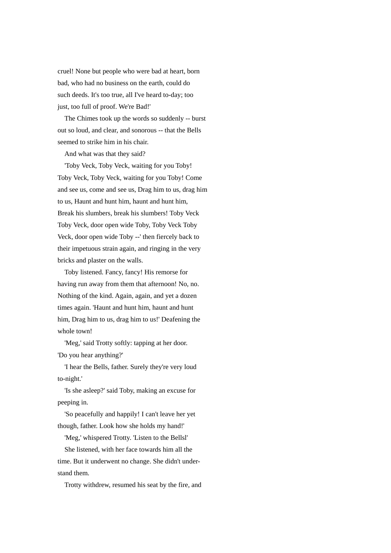cruel! None but people who were bad at heart, born bad, who had no business on the earth, could do such deeds. It's too true, all I've heard to-day; too just, too full of proof. We're Bad!'

 The Chimes took up the words so suddenly -- burst out so loud, and clear, and sonorous -- that the Bells seemed to strike him in his chair.

And what was that they said?

 'Toby Veck, Toby Veck, waiting for you Toby! Toby Veck, Toby Veck, waiting for you Toby! Come and see us, come and see us, Drag him to us, drag him to us, Haunt and hunt him, haunt and hunt him, Break his slumbers, break his slumbers! Toby Veck Toby Veck, door open wide Toby, Toby Veck Toby Veck, door open wide Toby --' then fiercely back to their impetuous strain again, and ringing in the very bricks and plaster on the walls.

 Toby listened. Fancy, fancy! His remorse for having run away from them that afternoon! No, no. Nothing of the kind. Again, again, and yet a dozen times again. 'Haunt and hunt him, haunt and hunt him, Drag him to us, drag him to us!' Deafening the whole town!

 'Meg,' said Trotty softly: tapping at her door. 'Do you hear anything?'

 'I hear the Bells, father. Surely they're very loud to-night.'

 'Is she asleep?' said Toby, making an excuse for peeping in.

 'So peacefully and happily! I can't leave her yet though, father. Look how she holds my hand!'

'Meg,' whispered Trotty. 'Listen to the Bellsl'

 She listened, with her face towards him all the time. But it underwent no change. She didn't understand them.

Trotty withdrew, resumed his seat by the fire, and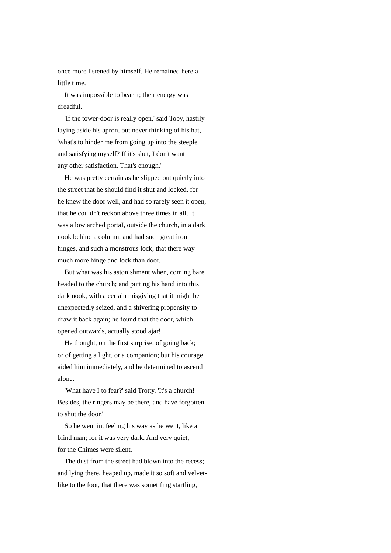once more listened by himself. He remained here a little time.

 It was impossible to bear it; their energy was dreadful.

 'If the tower-door is really open,' said Toby, hastily laying aside his apron, but never thinking of his hat, 'what's to hinder me from going up into the steeple and satisfying myself? If it's shut, I don't want any other satisfaction. That's enough.'

 He was pretty certain as he slipped out quietly into the street that he should find it shut and locked, for he knew the door well, and had so rarely seen it open, that he couldn't reckon above three times in all. It was a low arched portaI, outside the church, in a dark nook behind a column; and had such great iron hinges, and such a monstrous lock, that there way much more hinge and lock than door.

 But what was his astonishment when, coming bare headed to the church; and putting his hand into this dark nook, with a certain misgiving that it might be unexpectedly seized, and a shivering propensity to draw it back again; he found that the door, which opened outwards, actually stood ajar!

 He thought, on the first surprise, of going back; or of getting a light, or a companion; but his courage aided him immediately, and he determined to ascend alone.

 'What have I to fear?' said Trotty. 'It's a church! Besides, the ringers may be there, and have forgotten to shut the door.'

 So he went in, feeling his way as he went, like a blind man; for it was very dark. And very quiet, for the Chimes were silent.

 The dust from the street had blown into the recess; and lying there, heaped up, made it so soft and velvetlike to the foot, that there was sometifing startling,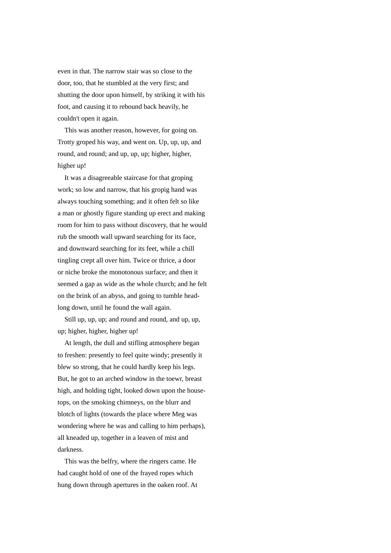even in that. The narrow stair was so close to the door, too, that he stumbled at the very first; and shutting the door upon himself, by striking it with his foot, and causing it to rebound back heavily, he couldn't open it again.

 This was another reason, however, for going on. Trotty groped his way, and went on. Up, up, up, and round, and round; and up, up, up; higher, higher, higher up!

 It was a disagreeable staircase for that groping work; so low and narrow, that his gropig hand was always touching something; and it often felt so like a man or ghostly figure standing up erect and making room for him to pass without discovery, that he would rub the smooth wall upward searching for its face, and downward searching for its feet, while a chill tingling crept all over him. Twice or thrice, a door or niche broke the monotonous surface; and then it seemed a gap as wide as the whole church; and he felt on the brink of an abyss, and going to tumble headlong down, until he found the wall again.

 Still up, up, up; and round and round, and up, up, up; higher, higher, higher up!

 At length, the dull and stifling atmosphere began to freshen: presently to feel quite windy; presently it blew so strong, that he could hardly keep his legs. But, he got to an arched window in the toewr, breast high, and holding tight, looked down upon the housetops, on the smoking chimneys, on the blurr and blotch of lights (towards the place where Meg was wondering where he was and calling to him perhaps), all kneaded up, together in a leaven of mist and darkness.

 This was the belfry, where the ringers came. He had caught hold of one of the frayed ropes which hung down through apertures in the oaken roof. At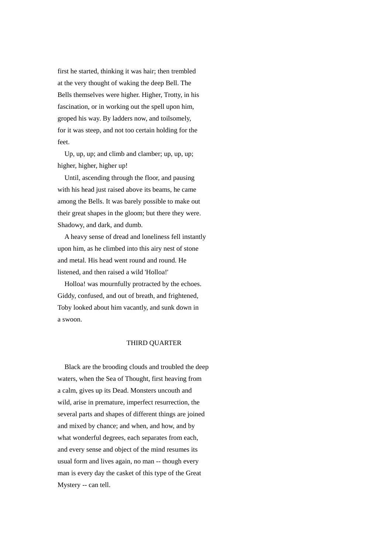first he started, thinking it was hair; then trembled at the very thought of waking the deep Bell. The Bells themselves were higher. Higher, Trotty, in his fascination, or in working out the spell upon him, groped his way. By ladders now, and toilsomely, for it was steep, and not too certain holding for the feet.

 Up, up, up; and climb and clamber; up, up, up; higher, higher, higher up!

 Until, ascending through the floor, and pausing with his head just raised above its beams, he came among the Bells. It was barely possible to make out their great shapes in the gloom; but there they were. Shadowy, and dark, and dumb.

 A heavy sense of dread and loneliness fell instantly upon him, as he climbed into this airy nest of stone and metal. His head went round and round. He listened, and then raised a wild 'Holloa!'

 Holloa! was mournfully protracted by the echoes. Giddy, confused, and out of breath, and frightened, Toby looked about him vacantly, and sunk down in a swoon.

## THIRD QUARTER

 Black are the brooding clouds and troubled the deep waters, when the Sea of Thought, first heaving from a calm, gives up its Dead. Monsters uncouth and wild, arise in premature, imperfect resurrection, the several parts and shapes of different things are joined and mixed by chance; and when, and how, and by what wonderful degrees, each separates from each, and every sense and object of the mind resumes its usual form and lives again, no man -- though every man is every day the casket of this type of the Great Mystery -- can tell.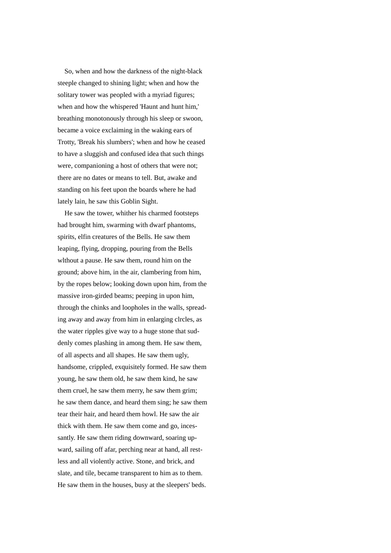So, when and how the darkness of the night-black steeple changed to shining light; when and how the solitary tower was peopled with a myriad figures; when and how the whispered 'Haunt and hunt him,' breathing monotonously through his sleep or swoon, became a voice exclaiming in the waking ears of Trotty, 'Break his slumbers'; when and how he ceased to have a sluggish and confused idea that such things were, companioning a host of others that were not; there are no dates or means to tell. But, awake and standing on his feet upon the boards where he had lately lain, he saw this Goblin Sight.

 He saw the tower, whither his charmed footsteps had brought him, swarming with dwarf phantoms, spirits, elfin creatures of the Bells. He saw them leaping, flying, dropping, pouring from the Bells wlthout a pause. He saw them, round him on the ground; above him, in the air, clambering from him, by the ropes below; looking down upon him, from the massive iron-girded beams; peeping in upon him, through the chinks and loopholes in the walls, spreading away and away from him in enlarging clrcles, as the water ripples give way to a huge stone that suddenly comes plashing in among them. He saw them, of all aspects and all shapes. He saw them ugly, handsome, crippled, exquisitely formed. He saw them young, he saw them old, he saw them kind, he saw them cruel, he saw them merry, he saw them grim; he saw them dance, and heard them sing; he saw them tear their hair, and heard them howl. He saw the air thick with them. He saw them come and go, incessantly. He saw them riding downward, soaring upward, sailing off afar, perching near at hand, all restless and all violently active. Stone, and brick, and slate, and tile, became transparent to him as to them. He saw them in the houses, busy at the sleepers' beds.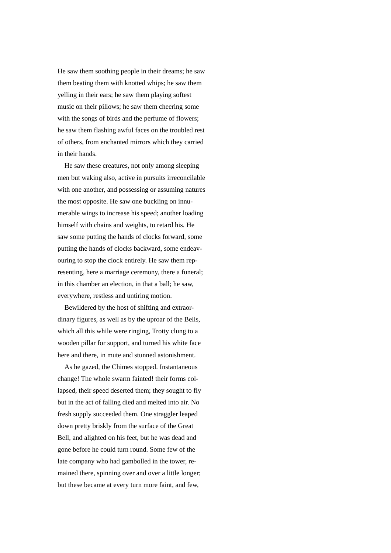He saw them soothing people in their dreams; he saw them beating them with knotted whips; he saw them yelling in their ears; he saw them playing softest music on their pillows; he saw them cheering some with the songs of birds and the perfume of flowers; he saw them flashing awful faces on the troubled rest of others, from enchanted mirrors which they carried in their hands.

 He saw these creatures, not only among sleeping men but waking also, active in pursuits irreconcilable with one another, and possessing or assuming natures the most opposite. He saw one buckling on innumerable wings to increase his speed; another loading himself with chains and weights, to retard his. He saw some putting the hands of clocks forward, some putting the hands of clocks backward, some endeavouring to stop the clock entirely. He saw them representing, here a marriage ceremony, there a funeral; in this chamber an election, in that a ball; he saw, everywhere, restless and untiring motion.

 Bewildered by the host of shifting and extraordinary figures, as well as by the uproar of the Bells, which all this while were ringing, Trotty clung to a wooden pillar for support, and turned his white face here and there, in mute and stunned astonishment.

 As he gazed, the Chimes stopped. Instantaneous change! The whole swarm fainted! their forms collapsed, their speed deserted them; they sought to fly but in the act of falling died and melted into air. No fresh supply succeeded them. One straggler leaped down pretty briskly from the surface of the Great Bell, and alighted on his feet, but he was dead and gone before he could turn round. Some few of the late company who had gambolled in the tower, remained there, spinning over and over a little longer; but these became at every turn more faint, and few,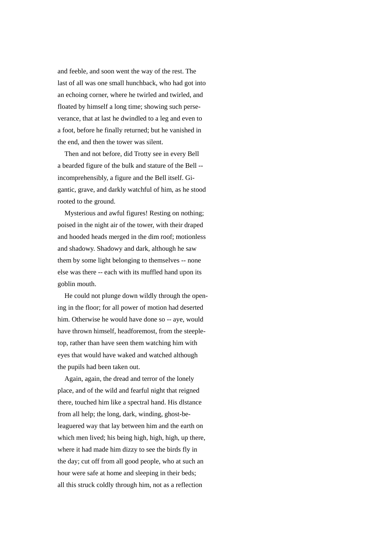and feeble, and soon went the way of the rest. The last of all was one small hunchback, who had got into an echoing corner, where he twirled and twirled, and floated by himself a long time; showing such perseverance, that at last he dwindled to a leg and even to a foot, before he finally returned; but he vanished in the end, and then the tower was silent.

 Then and not before, did Trotty see in every Bell a bearded figure of the bulk and stature of the Bell - incomprehensibly, a figure and the Bell itself. Gigantic, grave, and darkly watchful of him, as he stood rooted to the ground.

 Mysterious and awful figures! Resting on nothing; poised in the night air of the tower, with their draped and hooded heads merged in the dim roof; motionless and shadowy. Shadowy and dark, although he saw them by some light belonging to themselves -- none else was there -- each with its muffled hand upon its goblin mouth.

 He could not plunge down wildly through the opening in the floor; for all power of motion had deserted him. Otherwise he would have done so -- aye, would have thrown himself, headforemost, from the steepletop, rather than have seen them watching him with eyes that would have waked and watched although the pupils had been taken out.

 Again, again, the dread and terror of the lonely place, and of the wild and fearful night that reigned there, touched him like a spectral hand. His dlstance from all help; the long, dark, winding, ghost-beleaguered way that lay between him and the earth on which men lived; his being high, high, high, up there, where it had made him dizzy to see the birds fly in the day; cut off from all good people, who at such an hour were safe at home and sleeping in their beds; all this struck coldly through him, not as a reflection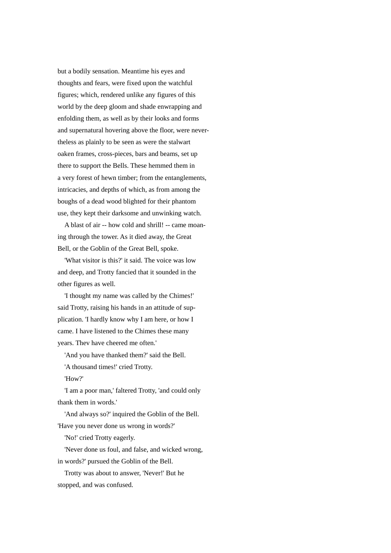but a bodily sensation. Meantime his eyes and thoughts and fears, were fixed upon the watchful figures; which, rendered unlike any figures of this world by the deep gloom and shade enwrapping and enfolding them, as well as by their looks and forms and supernatural hovering above the floor, were nevertheless as plainly to be seen as were the stalwart oaken frames, cross-pieces, bars and beams, set up there to support the Bells. These hemmed them in a very forest of hewn timber; from the entanglements, intricacies, and depths of which, as from among the boughs of a dead wood blighted for their phantom use, they kept their darksome and unwinking watch.

 A blast of air -- how cold and shrill! -- came moaning through the tower. As it died away, the Great Bell, or the Goblin of the Great Bell, spoke.

 'What visitor is this?' it said. The voice was low and deep, and Trotty fancied that it sounded in the other figures as well.

 'I thought my name was called by the Chimes!' said Trotty, raising his hands in an attitude of supplication. 'I hardly know why I am here, or how I came. I have listened to the Chimes these many years. Thev have cheered me often.'

'And you have thanked them?' said the Bell.

'A thousand times!' cried Trotty.

'How?'

 'I am a poor man,' faltered Trotty, 'and could only thank them in words.'

 'And always so?' inquired the Goblin of the Bell. 'Have you never done us wrong in words?'

'No!' cried Trotty eagerly.

 'Never done us foul, and false, and wicked wrong, in words?' pursued the Goblin of the Bell.

 Trotty was about to answer, 'Never!' But he stopped, and was confused.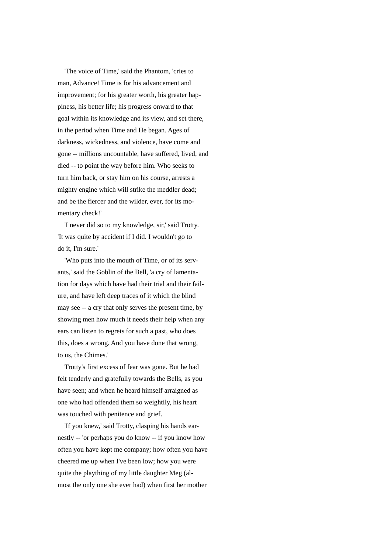'The voice of Time,' said the Phantom, 'cries to man, Advance! Time is for his advancement and improvement; for his greater worth, his greater happiness, his better life; his progress onward to that goal within its knowledge and its view, and set there, in the period when Time and He began. Ages of darkness, wickedness, and violence, have come and gone -- millions uncountable, have suffered, lived, and died -- to point the way before him. Who seeks to turn him back, or stay him on his course, arrests a mighty engine which will strike the meddler dead; and be the fiercer and the wilder, ever, for its momentary check!'

 'I never did so to my knowledge, sir,' said Trotty. 'It was quite by accident if I did. I wouldn't go to do it, I'm sure.'

 'Who puts into the mouth of Time, or of its servants,' said the Goblin of the Bell, 'a cry of lamentation for days which have had their trial and their failure, and have left deep traces of it which the blind may see -- a cry that only serves the present time, by showing men how much it needs their help when any ears can listen to regrets for such a past, who does this, does a wrong. And you have done that wrong, to us, the Chimes.'

 Trotty's first excess of fear was gone. But he had felt tenderly and gratefully towards the Bells, as you have seen; and when he heard himself arraigned as one who had offended them so weightily, his heart was touched with penitence and grief.

 'If you knew,' said Trotty, clasping his hands earnestly -- 'or perhaps you do know -- if you know how often you have kept me company; how often you have cheered me up when I've been low; how you were quite the plaything of my little daughter Meg (almost the only one she ever had) when first her mother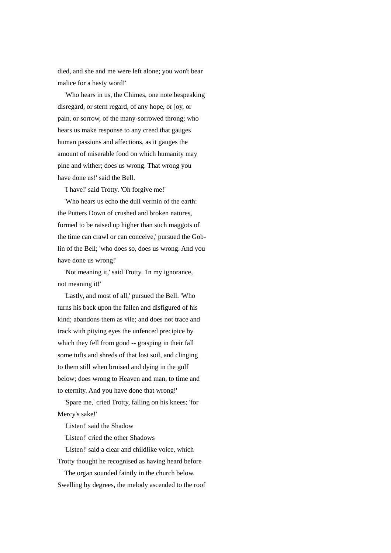died, and she and me were left alone; you won't bear malice for a hasty word!'

 'Who hears in us, the Chimes, one note bespeaking disregard, or stern regard, of any hope, or joy, or pain, or sorrow, of the many-sorrowed throng; who hears us make response to any creed that gauges human passions and affections, as it gauges the amount of miserable food on which humanity may pine and wither; does us wrong. That wrong you have done us!' said the Bell.

'I have!' said Trotty. 'Oh forgive me!'

 'Who hears us echo the dull vermin of the earth: the Putters Down of crushed and broken natures, formed to be raised up higher than such maggots of the time can crawl or can conceive,' pursued the Goblin of the Bell; 'who does so, does us wrong. And you have done us wrong!'

 'Not meaning it,' said Trotty. 'In my ignorance, not meaning it!'

 'Lastly, and most of all,' pursued the Bell. 'Who turns his back upon the fallen and disfigured of his kind; abandons them as vile; and does not trace and track with pitying eyes the unfenced precipice by which they fell from good -- grasping in their fall some tufts and shreds of that lost soil, and clinging to them still when bruised and dying in the gulf below; does wrong to Heaven and man, to time and to eternity. And you have done that wrong!'

 'Spare me,' cried Trotty, falling on his knees; 'for Mercy's sake!'

'Listen!' said the Shadow

'Listen!' cried the other Shadows

 'Listen!' said a clear and childlike voice, which Trotty thought he recognised as having heard before

 The organ sounded faintly in the church below. Swelling by degrees, the melody ascended to the roof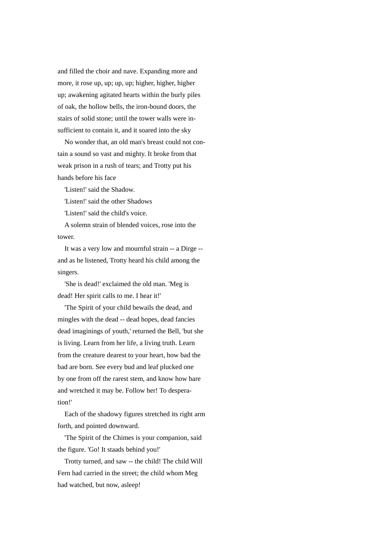and filled the choir and nave. Expanding more and more, it rose up, up; up, up; higher, higher, higher up; awakening agitated hearts within the burly piles of oak, the hollow bells, the iron-bound doors, the stairs of solid stone; until the tower walls were insufficient to contain it, and it soared into the sky

 No wonder that, an old man's breast could not contain a sound so vast and mighty. It broke from that weak prison in a rush of tears; and Trotty put his hands before his face

'Listen!' said the Shadow.

'Listen!' said the other Shadows

'Listen!' said the child's voice.

 A solemn strain of blended voices, rose into the tower.

 It was a very low and mournful strain -- a Dirge - and as he listened, Trotty heard his child among the singers.

 'She is dead!' exclaimed the old man. 'Meg is dead! Her spirit calls to me. I hear it!'

 'The Spirit of your child bewails the dead, and mingles with the dead -- dead hopes, dead fancies dead imaginings of youth,' returned the Bell, 'but she is living. Learn from her life, a living truth. Learn from the creature dearest to your heart, how bad the bad are born. See every bud and leaf plucked one by one from off the rarest stem, and know how bare and wretched it may be. Follow her! To desperation!'

 Each of the shadowy figures stretched its right arm forth, and pointed downward.

 'The Spirit of the Chimes is your companion, said the figure. 'Go! It staads behind you!'

 Trotty turned, and saw -- the child! The child Will Fern had carried in the street; the child whom Meg had watched, but now, asleep!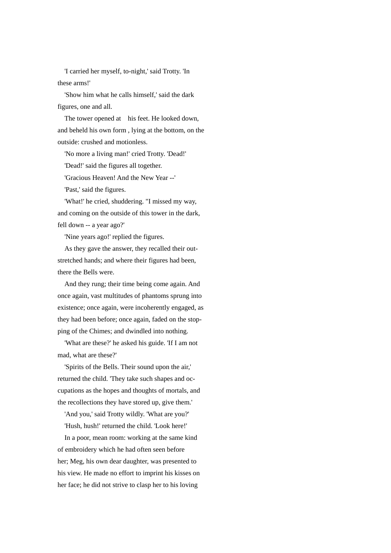'I carried her myself, to-night,' said Trotty. 'In these arms!'

 'Show him what he calls himself,' said the dark figures, one and all.

The tower opened at his feet. He looked down, and beheld his own form , lying at the bottom, on the outside: crushed and motionless.

'No more a living man!' cried Trotty. 'Dead!'

'Dead!' said the figures all together.

'Gracious Heaven! And the New Year --'

'Past,' said the figures.

 'What!' he cried, shuddering. "I missed my way, and coming on the outside of this tower in the dark, fell down -- a year ago?'

'Nine years ago!' replied the figures.

 As they gave the answer, they recalled their outstretched hands; and where their figures had been, there the Bells were.

 And they rung; their time being come again. And once again, vast multitudes of phantoms sprung into existence; once again, were incoherently engaged, as they had been before; once again, faded on the stopping of the Chimes; and dwindled into nothing.

 'What are these?' he asked his guide. 'If I am not mad, what are these?'

 'Spirits of the Bells. Their sound upon the air,' returned the child. 'They take such shapes and occupations as the hopes and thoughts of mortals, and the recollections they have stored up, give them.'

 'And you,' said Trotty wildly. 'What are you?' 'Hush, hush!' returned the child. 'Look here!'

 In a poor, mean room: working at the same kind of embroidery which he had often seen before her; Meg, his own dear daughter, was presented to his view. He made no effort to imprint his kisses on her face; he did not strive to clasp her to his loving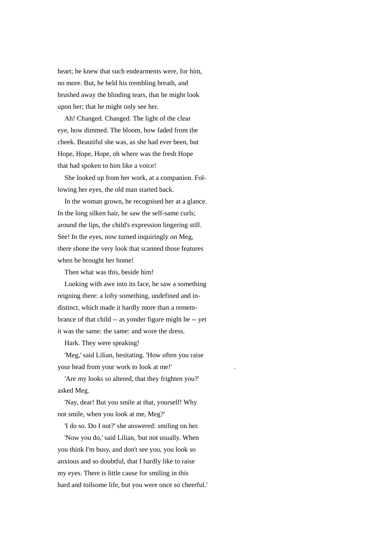heart; he knew that such endearments were, for him, no more. But, he held his trembling breath, and brushed away the blinding tears, that he might look upon her; that he might only see her.

 Ah! Changed. Changed. The light of the clear eye, how dimmed. The bloom, how faded from the cheek. Beautiful she was, as she had ever been, but Hope, Hope, Hope, oh where was the fresh Hope that had spoken to him like a voice!

 She looked up from her work, at a companion. Following her eyes, the old man started back.

 In the woman grown, he recognised her at a glance. In the long silken hair, he saw the self-same curls; around the lips, the child's expression lingering still. See! In the eyes, now turned inquiringly on Meg, there shone the very look that scanned those features when he brought her home!

Then what was this, beside him!

 Looking with awe into its face, he saw a something reigning there: a lofty something, undefined and indistinct, which made it hardly more than a remembrance of that child -- as yonder figure might be -- yet it was the same: the same: and wore the dress.

Hark. They were speaking!

 'Meg,' said Lilian, hesitating. 'How often you raise your head from your work to look at me!'

 'Are my looks so altered, that they frighten you?' asked Meg.

 'Nay, dear! But you smile at that, yourself! Why not smile, when you look at me, Meg?'

'I do so. Do I not?' she answered: smiling on her.

 'Now you do,' said Lilian, 'but not usually. When you think I'm busy, and don't see you, you look so anxious and so doubtful, that I hardly like to raise my eyes. There is little cause for smiling in this hard and toilsome life, but you were once so cheerful.'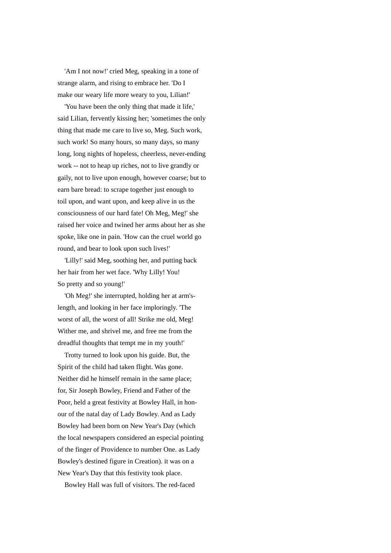'Am I not now!' cried Meg, speaking in a tone of strange alarm, and rising to embrace her. 'Do I make our weary life more weary to you, Lilian!'

 'You have been the only thing that made it life,' said Lilian, fervently kissing her; 'sometimes the only thing that made me care to live so, Meg. Such work, such work! So many hours, so many days, so many long, long nights of hopeless, cheerless, never-ending work -- not to heap up riches, not to live grandly or gaily, not to live upon enough, however coarse; but to earn bare bread: to scrape together just enough to toil upon, and want upon, and keep alive in us the consciousness of our hard fate! Oh Meg, Meg!' she raised her voice and twined her arms about her as she spoke, like one in pain. 'How can the cruel world go round, and bear to look upon such lives!'

 'Lilly!' said Meg, soothing her, and putting back her hair from her wet face. 'Why Lilly! You! So pretty and so young!'

 'Oh Meg!' she interrupted, holding her at arm'slength, and looking in her face imploringly. 'The worst of all, the worst of all! Strike me old, Meg! Wither me, and shrivel me, and free me from the dreadful thoughts that tempt me in my youth!'

 Trotty turned to look upon his guide. But, the Spirit of the child had taken flight. Was gone. Neither did he himself remain in the same place; for, Sir Joseph Bowley, Friend and Father of the Poor, held a great festivity at Bowley Hall, in honour of the natal day of Lady Bowley. And as Lady Bowley had been born on New Year's Day (which the local newspapers considered an especial pointing of the finger of Providence to number One. as Lady Bowley's destined figure in Creation). it was on a New Year's Day that this festivity took place.

Bowley Hall was full of visitors. The red-faced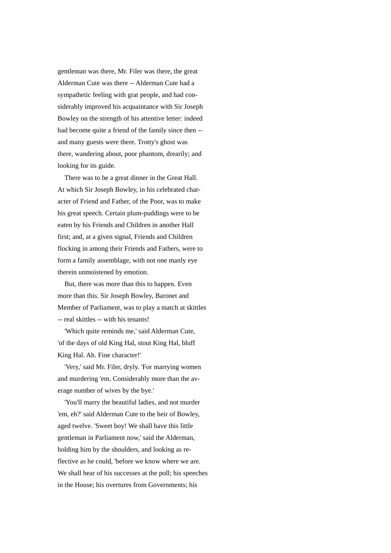gentleman was there, Mr. Filer was there, the great Alderman Cute was there -- Alderman Cute had a sympathetic feeling with grat people, and had considerably improved his acquaintance with Sir Joseph Bowley on the strength of his attentive letter: indeed had become quite a friend of the family since then - and many guests were there. Trotty's ghost was there, wandering about, poor phantom, drearily; and looking for its guide.

 There was to be a great dinner in the Great Hall. At which Sir Joseph Bowley, in his celebrated character of Friend and Father, of the Poor, was to make his great speech. Certain plum-puddings were to be eaten by his Friends and Children in another Hall first; and, at a given signal, Friends and Children flocking in among their Friends and Fathers, were to form a family assemblage, with not one manly eye therein unmoistened by emotion.

 But, there was more than this to happen. Even more than this. Sir Joseph Bowley, Baronet and Member of Parliament, was to play a match at skittles -- real skittles -- with his tenants!

 'Which quite reminds me,' said Alderman Cute, 'of the days of old King Hal, stout King Hal, bluff King Hal. Ah. Fine character!'

 'Very,' said Mr. Filer, dryly. 'For marrying women and murdering 'em. Considerably more than the average number of wives by the bye.'

 'You'll marry the beautiful ladies, and not murder 'em, eh?' said Alderman Cute to the heir of Bowley, aged twelve. 'Sweet boy! We shall have this little gentleman in Parliament now,' said the Alderman, holding him by the shoulders, and looking as reflective as he could, 'before we know where we are. We shall hear of his successes at the poll; his speeches in the House; his overtures from Governments; his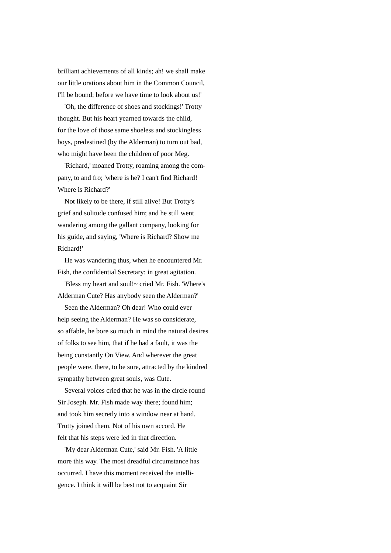brilliant achievements of all kinds; ah! we shall make our little orations about him in the Common Council, I'll be bound; before we have time to look about us!'

 'Oh, the difference of shoes and stockings!' Trotty thought. But his heart yearned towards the child, for the love of those same shoeless and stockingless boys, predestined (by the Alderman) to turn out bad, who might have been the children of poor Meg.

 'Richard,' moaned Trotty, roaming among the company, to and fro; 'where is he? I can't find Richard! Where is Richard?'

 Not likely to be there, if still alive! But Trotty's grief and solitude confused him; and he still went wandering among the gallant company, looking for his guide, and saying, 'Where is Richard? Show me Richard!'

 He was wandering thus, when he encountered Mr. Fish, the confidential Secretary: in great agitation.

 'Bless my heart and soul!~ cried Mr. Fish. 'Where's Alderman Cute? Has anybody seen the Alderman?'

 Seen the Alderman? Oh dear! Who could ever help seeing the Alderman? He was so considerate, so affable, he bore so much in mind the natural desires of folks to see him, that if he had a fault, it was the being constantly On View. And wherever the great people were, there, to be sure, attracted by the kindred sympathy between great souls, was Cute.

 Several voices cried that he was in the circle round Sir Joseph. Mr. Fish made way there; found him; and took him secretly into a window near at hand. Trotty joined them. Not of his own accord. He felt that his steps were led in that direction.

 'My dear Alderman Cute,' said Mr. Fish. 'A little more this way. The most dreadful circumstance has occurred. I have this moment received the intelligence. I think it will be best not to acquaint Sir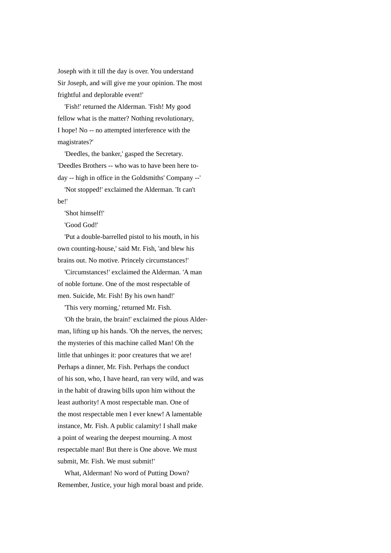Joseph with it till the day is over. You understand Sir Joseph, and will give me your opinion. The most frightful and deplorable event!'

 'Fish!' returned the Alderman. 'Fish! My good fellow what is the matter? Nothing revolutionary, I hope! No -- no attempted interference with the magistrates?'

 'Deedles, the banker,' gasped the Secretary. 'Deedles Brothers -- who was to have been here today -- high in office in the Goldsmiths' Company --'

 'Not stopped!' exclaimed the Alderman. 'It can't be!'

'Shot himself!'

'Good God!'

 'Put a double-barrelled pistol to his mouth, in his own counting-house,' said Mr. Fish, 'and blew his brains out. No motive. Princely circumstances!'

 'Circumstances!' exclaimed the Alderman. 'A man of noble fortune. One of the most respectable of men. Suicide, Mr. Fish! By his own hand!'

'This very morning,' returned Mr. Fish.

 'Oh the brain, the brain!' exclaimed the pious Alderman, lifting up his hands. 'Oh the nerves, the nerves; the mysteries of this machine called Man! Oh the little that unhinges it: poor creatures that we are! Perhaps a dinner, Mr. Fish. Perhaps the conduct of his son, who, I have heard, ran very wild, and was in the habit of drawing bills upon him without the least authority! A most respectable man. One of the most respectable men I ever knew! A lamentable instance, Mr. Fish. A public calamity! I shall make a point of wearing the deepest mourning. A most respectable man! But there is One above. We must submit, Mr. Fish. We must submit!'

 What, Alderman! No word of Putting Down? Remember, Justice, your high moral boast and pride.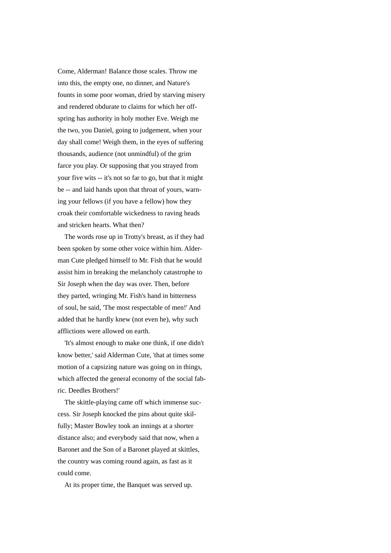Come, Alderman! Balance those scales. Throw me into this, the empty one, no dinner, and Nature's founts in some poor woman, dried by starving misery and rendered obdurate to claims for which her offspring has authority in holy mother Eve. Weigh me the two, you Daniel, going to judgement, when your day shall come! Weigh them, in the eyes of suffering thousands, audience (not unmindful) of the grim farce you play. Or supposing that you strayed from your five wits -- it's not so far to go, but that it might be -- and laid hands upon that throat of yours, warning your fellows (if you have a fellow) how they croak their comfortable wickedness to raving heads and stricken hearts. What then?

 The words rose up in Trotty's breast, as if they had been spoken by some other voice within him. Alderman Cute pledged himself to Mr. Fish that he would assist him in breaking the melancholy catastrophe to Sir Joseph when the day was over. Then, before they parted, wringing Mr. Fish's hand in bitterness of soul, he said, 'The most respectable of men!' And added that he hardly knew (not even he), why such afflictions were allowed on earth.

 'It's almost enough to make one think, if one didn't know better,' said Alderman Cute, 'that at times some motion of a capsizing nature was going on in things, which affected the general economy of the social fabric. Deedles Brothers!'

 The skittle-playing came off which immense success. Sir Joseph knocked the pins about quite skilfully; Master Bowley took an innings at a shorter distance also; and everybody said that now, when a Baronet and the Son of a Baronet played at skittles, the country was coming round again, as fast as it could come.

At its proper time, the Banquet was served up.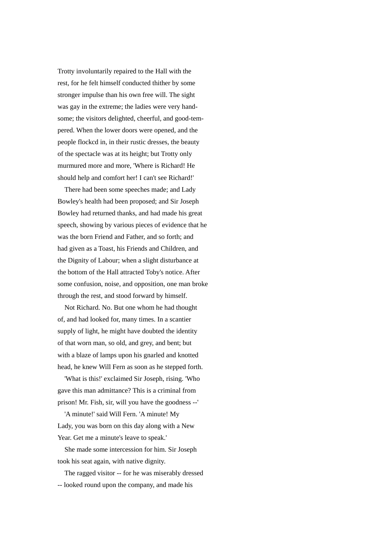Trotty involuntarily repaired to the Hall with the rest, for he felt himself conducted thither by some stronger impulse than his own free will. The sight was gay in the extreme; the ladies were very handsome; the visitors delighted, cheerful, and good-tempered. When the lower doors were opened, and the people flockcd in, in their rustic dresses, the beauty of the spectacle was at its height; but Trotty only murmured more and more, 'Where is Richard! He should help and comfort her! I can't see Richard!'

 There had been some speeches made; and Lady Bowley's health had been proposed; and Sir Joseph Bowley had returned thanks, and had made his great speech, showing by various pieces of evidence that he was the born Friend and Father, and so forth; and had given as a Toast, his Friends and Children, and the Dignity of Labour; when a slight disturbance at the bottom of the Hall attracted Toby's notice. After some confusion, noise, and opposition, one man broke through the rest, and stood forward by himself.

 Not Richard. No. But one whom he had thought of, and had looked for, many times. In a scantier supply of light, he might have doubted the identity of that worn man, so old, and grey, and bent; but with a blaze of lamps upon his gnarled and knotted head, he knew Will Fern as soon as he stepped forth.

 'What is this!' exclaimed Sir Joseph, rising. 'Who gave this man admittance? This is a criminal from prison! Mr. Fish, sir, will you have the goodness --'

 'A minute!' said Will Fern. 'A minute! My Lady, you was born on this day along with a New Year. Get me a minute's leave to speak.'

 She made some intercession for him. Sir Joseph took his seat again, with native dignity.

 The ragged visitor -- for he was miserably dressed -- looked round upon the company, and made his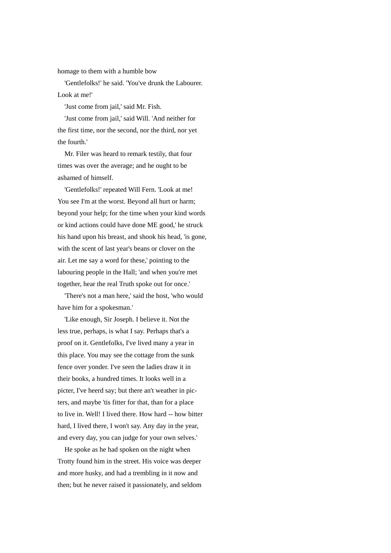homage to them with a humble bow

 'Gentlefolks!' he said. 'You've drunk the Labourer. Look at me!'

'Just come from jail,' said Mr. Fish.

 'Just come from jail,' said Will. 'And neither for the first time, nor the second, nor the third, nor yet the fourth.'

 Mr. Filer was heard to remark testily, that four times was over the average; and he ought to be ashamed of himself.

 'Gentlefolks!' repeated Will Fern. 'Look at me! You see I'm at the worst. Beyond all hurt or harm; beyond your help; for the time when your kind words or kind actions could have done ME good,' he struck his hand upon his breast, and shook his head, 'is gone, with the scent of last year's beans or clover on the air. Let me say a word for these,' pointing to the labouring people in the Hall; 'and when you're met together, hear the real Truth spoke out for once.'

 'There's not a man here,' said the host, 'who would have him for a spokesman.'

 'Like enough, Sir Joseph. I believe it. Not the less true, perhaps, is what I say. Perhaps that's a proof on it. Gentlefolks, I've lived many a year in this place. You may see the cottage from the sunk fence over yonder. I've seen the ladies draw it in their books, a hundred times. It looks well in a picter, I've heerd say; but there an't weather in picters, and maybe 'tis fitter for that, than for a place to live in. Well! I lived there. How hard -- how bitter hard, I lived there, I won't say. Any day in the year, and every day, you can judge for your own selves.'

 He spoke as he had spoken on the night when Trotty found him in the street. His voice was deeper and more husky, and had a trembling in it now and then; but he never raised it passionately, and seldom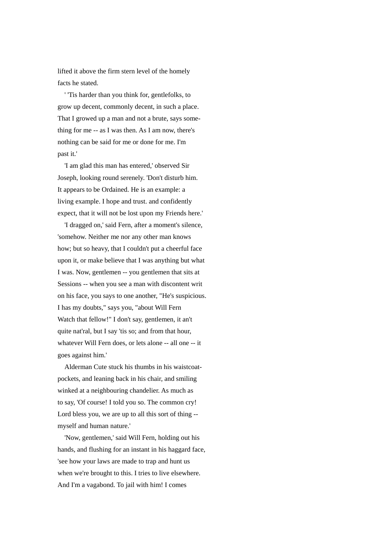lifted it above the firm stern level of the homely facts he stated.

 ' 'Tis harder than you think for, gentlefolks, to grow up decent, commonly decent, in such a place. That I growed up a man and not a brute, says something for me -- as I was then. As I am now, there's nothing can be said for me or done for me. I'm past it.'

 'I am glad this man has entered,' observed Sir Joseph, looking round serenely. 'Don't disturb him. It appears to be Ordained. He is an example: a living example. I hope and trust. and confidently expect, that it will not be lost upon my Friends here.'

 'I dragged on,' said Fern, after a moment's silence, 'somehow. Neither me nor any other man knows how; but so heavy, that I couldn't put a cheerful face upon it, or make believe that I was anything but what I was. Now, gentlemen -- you gentlemen that sits at Sessions -- when you see a man with discontent writ on his face, you says to one another, "He's suspicious. I has my doubts," says you, "about Will Fern Watch that fellow!" I don't say, gentlemen, it an't quite nat'ral, but I say 'tis so; and from that hour, whatever Will Fern does, or lets alone -- all one -- it goes against him.'

 Alderman Cute stuck his thumbs in his waistcoatpockets, and leaning back in his chair, and smiling winked at a neighbouring chandelier. As much as to say, 'Of course! I told you so. The common cry! Lord bless you, we are up to all this sort of thing - myself and human nature.'

 'Now, gentlemen,' said Will Fern, holding out his hands, and flushing for an instant in his haggard face, 'see how your laws are made to trap and hunt us when we're brought to this. I tries to live elsewhere. And I'm a vagabond. To jail with him! I comes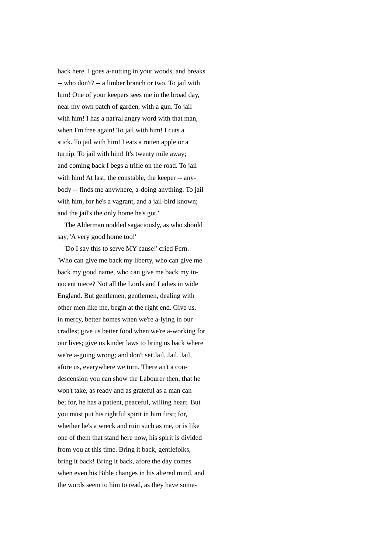back here. I goes a-nutting in your woods, and breaks -- who don't? -- a limber branch or two. To jail with him! One of your keepers sees me in the broad day, near my own patch of garden, with a gun. To jail with him! I has a nat'ral angry word with that man, when I'm free again! To jail with him! I cuts a stick. To jail with him! I eats a rotten apple or a turnip. To jail with him! It's twenty mile away; and coming back I begs a trifle on the road. To jail with him! At last, the constable, the keeper -- anybody -- finds me anywhere, a-doing anything. To jail with him, for he's a vagrant, and a jail-bird known; and the jail's the only home he's got.'

 The Alderman nodded sagaciously, as who should say, 'A very good home too!'

 'Do I say this to serve MY cause!' cried Fcrn. 'Who can give me back my liberty, who can give me back my good name, who can give me back my innocent niece? Not all the Lords and Ladies in wide England. But gentlemen, gentlemen, dealing with other men like me, begin at the right end. Give us, in mercy, better homes when we're a-lying in our cradles; give us better food when we're a-working for our lives; give us kinder laws to bring us back where we're a-going wrong; and don't set Jail, Jail, Jail, afore us, everywhere we turn. There an't a condescension you can show the Labourer then, that he won't take, as ready and as grateful as a man can be; for, he has a patient, peaceful, willing heart. But you must put his rightful spirit in him first; for, whether he's a wreck and ruin such as me, or is like one of them that stand here now, his spirit is divided from you at this time. Bring it back, gentlefolks, bring it back! Bring it back, afore the day comes when even his Bible changes in his altered mind, and the words seem to him to read, as they have some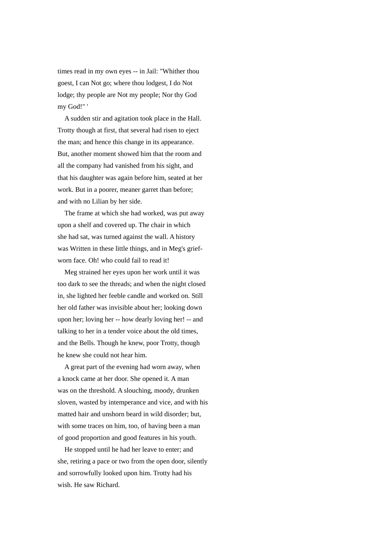times read in my own eyes -- in Jail: "Whither thou goest, I can Not go; where thou lodgest, I do Not lodge; thy people are Not my people; Nor thy God my God!" '

 A sudden stir and agitation took place in the Hall. Trotty though at first, that several had risen to eject the man; and hence this change in its appearance. But, another moment showed him that the room and all the company had vanished from his sight, and that his daughter was again before him, seated at her work. But in a poorer, meaner garret than before; and with no Lilian by her side.

 The frame at which she had worked, was put away upon a shelf and covered up. The chair in which she had sat, was turned against the wall. A history was Written in these little things, and in Meg's griefworn face. Oh! who could fail to read it!

 Meg strained her eyes upon her work until it was too dark to see the threads; and when the night closed in, she lighted her feeble candle and worked on. Still her old father was invisible about her; looking down upon her; loving her -- how dearly loving her! -- and talking to her in a tender voice about the old times, and the Bells. Though he knew, poor Trotty, though he knew she could not hear him.

 A great part of the evening had worn away, when a knock came at her door. She opened it. A man was on the threshold. A slouching, moody, drunken sloven, wasted by intemperance and vice, and with his matted hair and unshorn beard in wild disorder; but, with some traces on him, too, of having been a man of good proportion and good features in his youth.

 He stopped until he had her leave to enter; and she, retiring a pace or two from the open door, silently and sorrowfully looked upon him. Trotty had his wish. He saw Richard.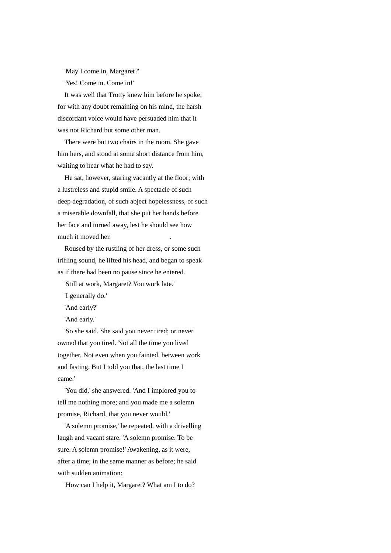'May I come in, Margaret?' 'Yes! Come in. Come in!'

 It was well that Trotty knew him before he spoke; for with any doubt remaining on his mind, the harsh discordant voice would have persuaded him that it was not Richard but some other man.

 There were but two chairs in the room. She gave him hers, and stood at some short distance from him, waiting to hear what he had to say.

 He sat, however, staring vacantly at the floor; with a lustreless and stupid smile. A spectacle of such deep degradation, of such abject hopelessness, of such a miserable downfall, that she put her hands before her face and turned away, lest he should see how much it moved her. .

 Roused by the rustling of her dress, or some such trifling sound, he lifted his head, and began to speak as if there had been no pause since he entered.

'Still at work, Margaret? You work late.'

'I generally do.'

'And early?'

'And early.'

 'So she said. She said you never tired; or never owned that you tired. Not all the time you lived together. Not even when you fainted, between work and fasting. But I told you that, the last time I came.'

 'You did,' she answered. 'And I implored you to tell me nothing more; and you made me a solemn promise, Richard, that you never would.'

 'A solemn promise,' he repeated, with a drivelling laugh and vacant stare. 'A solemn promise. To be sure. A solemn promise!' Awakening, as it were, after a time; in the same manner as before; he said with sudden animation:

'How can I help it, Margaret? What am I to do?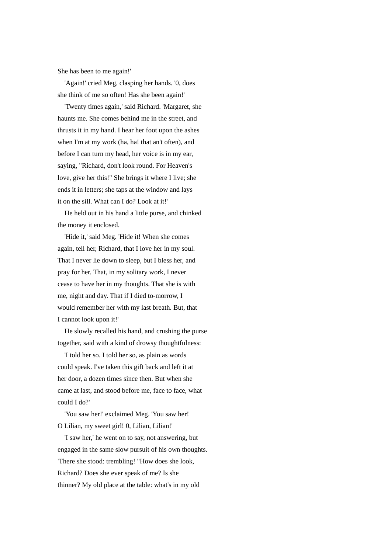She has been to me again!'

 'Again!' cried Meg, clasping her hands. '0, does she think of me so often! Has she been again!'

 'Twenty times again,' said Richard. 'Margaret, she haunts me. She comes behind me in the street, and thrusts it in my hand. I hear her foot upon the ashes when I'm at my work (ha, ha! that an't often), and before I can turn my head, her voice is in my ear, saying, "Richard, don't look round. For Heaven's love, give her this!" She brings it where I live; she ends it in letters; she taps at the window and lays it on the sill. What can I do? Look at it!'

 He held out in his hand a little purse, and chinked the money it enclosed.

 'Hide it,' said Meg. 'Hide it! When she comes again, tell her, Richard, that I love her in my soul. That I never lie down to sleep, but I bless her, and pray for her. That, in my solitary work, I never cease to have her in my thoughts. That she is with me, night and day. That if I died to-morrow, I would remember her with my last breath. But, that I cannot look upon it!'

 He slowly recalled his hand, and crushing the purse together, said with a kind of drowsy thoughtfulness:

 'I told her so. I told her so, as plain as words could speak. I've taken this gift back and left it at her door, a dozen times since then. But when she came at last, and stood before me, face to face, what could I do?'

 'You saw her!' exclaimed Meg. 'You saw her! O Lilian, my sweet girl! 0, Lilian, Lilian!'

 'I saw her,' he went on to say, not answering, but engaged in the same slow pursuit of his own thoughts. 'There she stood: trembling! "How does she look, Richard? Does she ever speak of me? Is she thinner? My old place at the table: what's in my old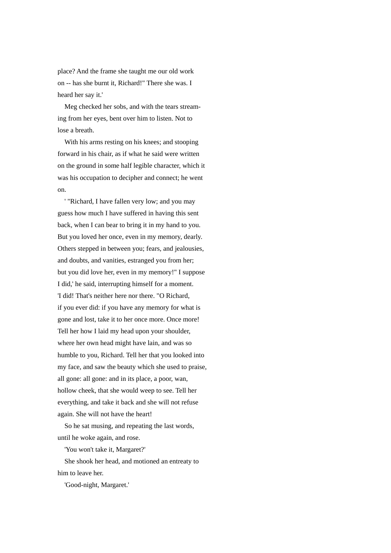place? And the frame she taught me our old work on -- has she burnt it, Richard!" There she was. I heard her say it.'

 Meg checked her sobs, and with the tears streaming from her eyes, bent over him to listen. Not to lose a breath.

 With his arms resting on his knees; and stooping forward in his chair, as if what he said were written on the ground in some half legible character, which it was his occupation to decipher and connect; he went on.

 ' "Richard, I have fallen very low; and you may guess how much I have suffered in having this sent back, when I can bear to bring it in my hand to you. But you loved her once, even in my memory, dearly. Others stepped in between you; fears, and jealousies, and doubts, and vanities, estranged you from her; but you did love her, even in my memory!" I suppose I did,' he said, interrupting himself for a moment. 'I did! That's neither here nor there. "O Richard, if you ever did: if you have any memory for what is gone and lost, take it to her once more. Once more! Tell her how I laid my head upon your shoulder, where her own head might have lain, and was so humble to you, Richard. Tell her that you looked into my face, and saw the beauty which she used to praise, all gone: all gone: and in its place, a poor, wan, hollow cheek, that she would weep to see. Tell her everything, and take it back and she will not refuse again. She will not have the heart!

 So he sat musing, and repeating the last words, until he woke again, and rose.

'You won't take it, Margaret?'

 She shook her head, and motioned an entreaty to him to leave her.

'Good-night, Margaret.'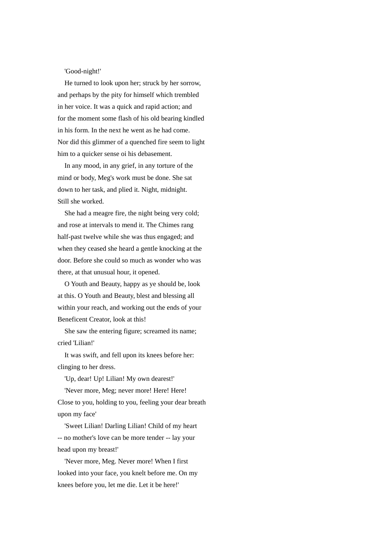'Good-night!'

 He turned to look upon her; struck by her sorrow, and perhaps by the pity for himself which trembled in her voice. It was a quick and rapid action; and for the moment some flash of his old bearing kindled in his form. In the next he went as he had come. Nor did this glimmer of a quenched fire seem to light him to a quicker sense oi his debasement.

 In any mood, in any grief, in any torture of the mind or body, Meg's work must be done. She sat down to her task, and plied it. Night, midnight. Still she worked.

 She had a meagre fire, the night being very cold; and rose at intervals to mend it. The Chimes rang half-past twelve while she was thus engaged; and when they ceased she heard a gentle knocking at the door. Before she could so much as wonder who was there, at that unusual hour, it opened.

 O Youth and Beauty, happy as ye should be, look at this. O Youth and Beauty, blest and blessing all within your reach, and working out the ends of your Beneficent Creator, look at this!

 She saw the entering figure; screamed its name; cried 'Lilian!'

 It was swift, and fell upon its knees before her: clinging to her dress.

'Up, dear! Up! Lilian! My own dearest!'

 'Never more, Meg; never more! Here! Here! Close to you, holding to you, feeling your dear breath upon my face'

 'Sweet Lilian! Darling Lilian! Child of my heart -- no mother's love can be more tender -- lay your head upon my breast!'

 'Never more, Meg. Never more! When I first looked into your face, you knelt before me. On my knees before you, let me die. Let it be here!'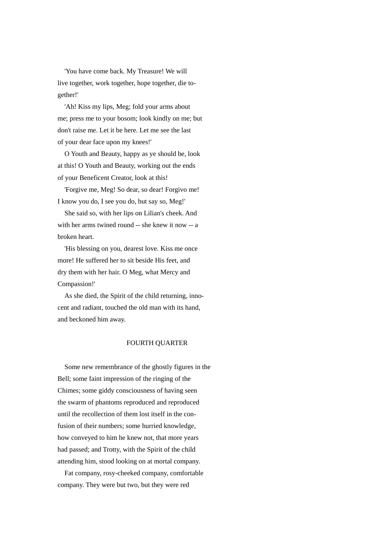'You have come back. My Treasure! We will live together, work together, hope together, die together!'

 'Ah! Kiss my lips, Meg; fold your arms about me; press me to your bosom; look kindly on me; but don't raise me. Let it be here. Let me see the last of your dear face upon my knees!'

 O Youth and Beauty, happy as ye should be, look at this! O Youth and Beauty, working out the ends of your Beneficent Creator, look at this!

 'Forgive me, Meg! So dear, so dear! Forgivo me! I know you do, I see you do, but say so, Meg!'

 She said so, with her lips on Lilian's cheek. And with her arms twined round -- she knew it now -- a broken heart.

 'His blessing on you, dearest love. Kiss me once more! He suffered her to sit beside His feet, and dry them with her hair. O Meg, what Mercy and Compassion!'

 As she died, the Spirit of the child returning, innocent and radiant, touched the old man with its hand, and beckoned him away.

## FOURTH QUARTER

 Some new remembrance of the ghostly figures in the Bell; some faint impression of the ringing of the Chimes; some giddy consciousness of having seen the swarm of phantoms reproduced and reproduced until the recollection of them lost itself in the confusion of their numbers; some hurried knowledge, how conveyed to him he knew not, that more years had passed; and Trotty, with the Spirit of the child attending him, stood looking on at mortal company.

 Fat company, rosy-cheeked company, comfortable company. They were but two, but they were red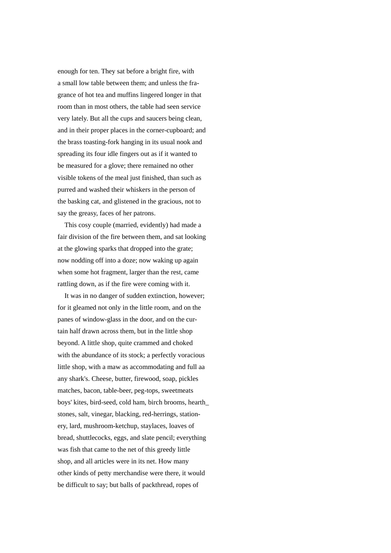enough for ten. They sat before a bright fire, with a small low table between them; and unless the fragrance of hot tea and muffins lingered longer in that room than in most others, the table had seen service very lately. But all the cups and saucers being clean, and in their proper places in the corner-cupboard; and the brass toasting-fork hanging in its usual nook and spreading its four idle fingers out as if it wanted to be measured for a glove; there remained no other visible tokens of the meal just finished, than such as purred and washed their whiskers in the person of the basking cat, and glistened in the gracious, not to say the greasy, faces of her patrons.

 This cosy couple (married, evidently) had made a fair division of the fire between them, and sat looking at the glowing sparks that dropped into the grate; now nodding off into a doze; now waking up again when some hot fragment, larger than the rest, came rattling down, as if the fire were coming with it.

 It was in no danger of sudden extinction, however; for it gleamed not only in the little room, and on the panes of window-glass in the door, and on the curtain half drawn across them, but in the little shop beyond. A little shop, quite crammed and choked with the abundance of its stock; a perfectly voracious little shop, with a maw as accommodating and full aa any shark's. Cheese, butter, firewood, soap, pickles matches, bacon, table-beer, peg-tops, sweetmeats boys' kites, bird-seed, cold ham, birch brooms, hearth\_ stones, salt, vinegar, blacking, red-herrings, stationery, lard, mushroom-ketchup, staylaces, loaves of bread, shuttlecocks, eggs, and slate pencil; everything was fish that came to the net of this greedy little shop, and all articles were in its net. How many other kinds of petty merchandise were there, it would be difficult to say; but balls of packthread, ropes of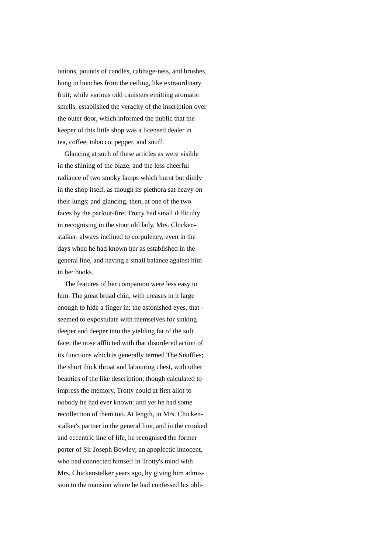onions, pounds of candles, cabbage-nets, and brushes, hung in bunches from the ceiling, like extraordinary fruit; while various odd canisters emitting aromatic smells, established the veracity of the inscription over the outer door, which informed the public that the keeper of this little shop was a licensed dealer in tea, coffee, tobacco, pepper, and snuff.

 Glancing at such of these articles as were visible in the shining of the blaze, and the less cheerful radiance of two smoky lamps which burnt but dimly in the shop itself, as though its plethora sat heavy on their lungs; and glancing, then, at one of the two faces by the parlour-fire; Trotty had small difficulty in recognising in the stout old lady, Mrs. Chickenstalker: always inclined to corpulency, even in the days when he had known her as established in the general line, and having a small balance against him in her books.

 The features of her companion were less easy to him. The great broad chin, with creases in it large enough to hide a finger in; the astonished eyes, that seemed to expostulate with themselves for sinking deeper and deeper into the yielding fat of the soft face; the nose afflicted with that disordered action of its functions which is generally termed The Snuffles; the short thick throat and labouring chest, with other beauties of the like description; though calculated to impress the memory, Trotty could at first allot to nobody he had ever known: and yet he had some recollection of them too. At length, in Mrs. Chickenstalker's partner in the general line, and in the crooked and eccentric line of life, he recognised the former porter of Sir Joseph Bowley; an apoplectic innocent, who had connected himself in Trotty's mind with Mrs. Chickenstalker years ago, by giving him admission to the mansion where he had confessed his obli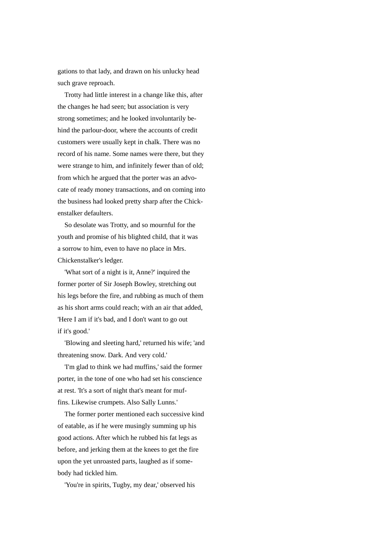gations to that lady, and drawn on his unlucky head such grave reproach.

 Trotty had little interest in a change like this, after the changes he had seen; but association is very strong sometimes; and he looked involuntarily behind the parlour-door, where the accounts of credit customers were usually kept in chalk. There was no record of his name. Some names were there, but they were strange to him, and infinitely fewer than of old; from which he argued that the porter was an advocate of ready money transactions, and on coming into the business had looked pretty sharp after the Chickenstalker defaulters.

 So desolate was Trotty, and so mournful for the youth and promise of his blighted child, that it was a sorrow to him, even to have no place in Mrs. Chickenstalker's ledger.

 'What sort of a night is it, Anne?' inquired the former porter of Sir Joseph Bowley, stretching out his legs before the fire, and rubbing as much of them as his short arms could reach; with an air that added, 'Here I am if it's bad, and I don't want to go out if it's good.'

 'Blowing and sleeting hard,' returned his wife; 'and threatening snow. Dark. And very cold.'

 'I'm glad to think we had muffins,' said the former porter, in the tone of one who had set his conscience at rest. 'It's a sort of night that's meant for muffins. Likewise crumpets. Also Sally Lunns.'

 The former porter mentioned each successive kind of eatable, as if he were musingly summing up his good actions. After which he rubbed his fat legs as before, and jerking them at the knees to get the fire upon the yet unroasted parts, laughed as if somebody had tickled him.

'You're in spirits, Tugby, my dear,' observed his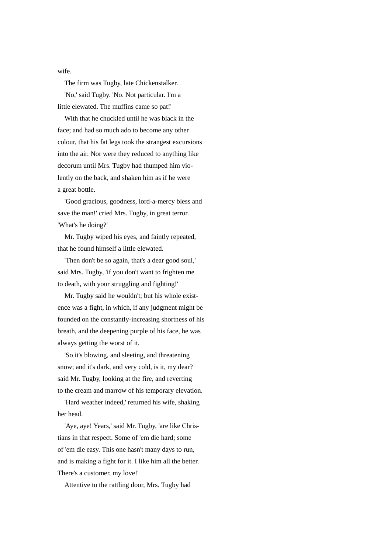wife.

The firm was Tugby, late Chickenstalker.

 'No,' said Tugby. 'No. Not particular. I'm a little elewated. The muffins came so pat!'

 With that he chuckled until he was black in the face; and had so much ado to become any other colour, that his fat legs took the strangest excursions into the air. Nor were they reduced to anything like decorum until Mrs. Tugby had thumped him violently on the back, and shaken him as if he were a great bottle.

 'Good gracious, goodness, lord-a-mercy bless and save the man!' cried Mrs. Tugby, in great terror. 'What's he doing?'

 Mr. Tugby wiped his eyes, and faintly repeated, that he found himself a little elewated.

 'Then don't be so again, that's a dear good soul,' said Mrs. Tugby, 'if you don't want to frighten me to death, with your struggling and fighting!'

 Mr. Tugby said he wouldn't; but his whole existence was a fight, in which, if any judgment might be founded on the constantly-increasing shortness of his breath, and the deepening purple of his face, he was always getting the worst of it.

 'So it's blowing, and sleeting, and threatening snow; and it's dark, and very cold, is it, my dear? said Mr. Tugby, looking at the fire, and reverting to the cream and marrow of his temporary elevation.

 'Hard weather indeed,' returned his wife, shaking her head.

 'Aye, aye! Years,' said Mr. Tugby, 'are like Christians in that respect. Some of 'em die hard; some of 'em die easy. This one hasn't many days to run, and is making a fight for it. I like him all the better. There's a customer, my love!'

Attentive to the rattling door, Mrs. Tugby had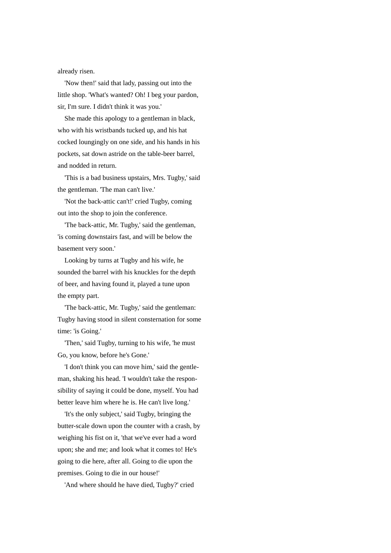already risen.

 'Now then!' said that lady, passing out into the little shop. 'What's wanted? Oh! I beg your pardon, sir, I'm sure. I didn't think it was you.'

 She made this apology to a gentleman in black, who with his wristbands tucked up, and his hat cocked loungingly on one side, and his hands in his pockets, sat down astride on the table-beer barrel, and nodded in return.

 'This is a bad business upstairs, Mrs. Tugby,' said the gentleman. 'The man can't live.'

 'Not the back-attic can't!' cried Tugby, coming out into the shop to join the conference.

 'The back-attic, Mr. Tugby,' said the gentleman, 'is coming downstairs fast, and will be below the basement very soon.'

 Looking by turns at Tugby and his wife, he sounded the barrel with his knuckles for the depth of beer, and having found it, played a tune upon the empty part.

 'The back-attic, Mr. Tugby,' said the gentleman: Tugby having stood in silent consternation for some time: 'is Going.'

 'Then,' said Tugby, turning to his wife, 'he must Go, you know, before he's Gone.'

 'I don't think you can move him,' said the gentleman, shaking his head. 'I wouldn't take the responsibility of saying it could be done, myself. You had better leave him where he is. He can't live long.'

 'It's the only subject,' said Tugby, bringing the butter-scale down upon the counter with a crash, by weighing his fist on it, 'that we've ever had a word upon; she and me; and look what it comes to! He's going to die here, after all. Going to die upon the premises. Going to die in our house!'

'And where should he have died, Tugby?' cried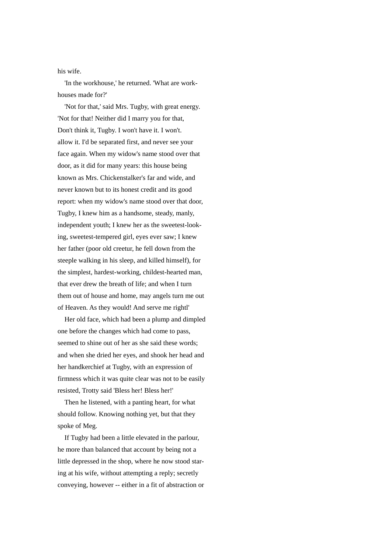## his wife.

 'In the workhouse,' he returned. 'What are workhouses made for?'

 'Not for that,' said Mrs. Tugby, with great energy. 'Not for that! Neither did I marry you for that, Don't think it, Tugby. I won't have it. I won't. allow it. I'd be separated first, and never see your face again. When my widow's name stood over that door, as it did for many years: this house being known as Mrs. Chickenstalker's far and wide, and never known but to its honest credit and its good report: when my widow's name stood over that door, Tugby, I knew him as a handsome, steady, manly, independent youth; I knew her as the sweetest-looking, sweetest-tempered girl, eyes ever saw; I knew her father (poor old creetur, he fell down from the steeple walking in his sleep, and killed himself), for the simplest, hardest-working, childest-hearted man, that ever drew the breath of life; and when I turn them out of house and home, may angels turn me out of Heaven. As they would! And serve me rightl'

 Her old face, which had been a plump and dimpled one before the changes which had come to pass, seemed to shine out of her as she said these words; and when she dried her eyes, and shook her head and her handkerchief at Tugby, with an expression of firmness which it was quite clear was not to be easily resisted, Trotty said 'Bless her! Bless her!'

 Then he listened, with a panting heart, for what should follow. Knowing nothing yet, but that they spoke of Meg.

 If Tugby had been a little elevated in the parlour, he more than balanced that account by being not a little depressed in the shop, where he now stood staring at his wife, without attempting a reply; secretly conveying, however -- either in a fit of abstraction or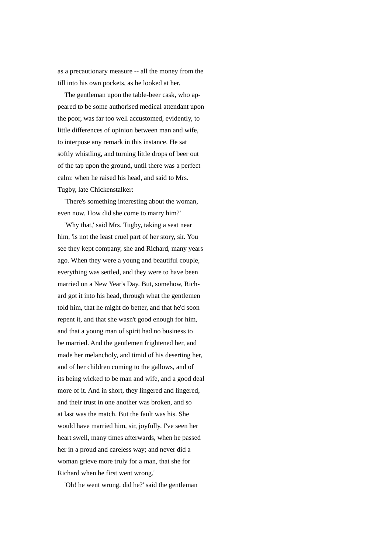as a precautionary measure -- all the money from the till into his own pockets, as he looked at her.

 The gentleman upon the table-beer cask, who appeared to be some authorised medical attendant upon the poor, was far too well accustomed, evidently, to little differences of opinion between man and wife, to interpose any remark in this instance. He sat softly whistling, and turning little drops of beer out of the tap upon the ground, until there was a perfect calm: when he raised his head, and said to Mrs. Tugby, late Chickenstalker:

 'There's something interesting about the woman, even now. How did she come to marry him?'

 'Why that,' said Mrs. Tugby, taking a seat near him, 'is not the least cruel part of her story, sir. You see they kept company, she and Richard, many years ago. When they were a young and beautiful couple, everything was settled, and they were to have been married on a New Year's Day. But, somehow, Richard got it into his head, through what the gentlemen told him, that he might do better, and that he'd soon repent it, and that she wasn't good enough for him, and that a young man of spirit had no business to be married. And the gentlemen frightened her, and made her melancholy, and timid of his deserting her, and of her children coming to the gallows, and of its being wicked to be man and wife, and a good deal more of it. And in short, they lingered and lingered, and their trust in one another was broken, and so at last was the match. But the fault was his. She would have married him, sir, joyfully. I've seen her heart swell, many times afterwards, when he passed her in a proud and careless way; and never did a woman grieve more truly for a man, that she for Richard when he first went wrong.'

'Oh! he went wrong, did he?' said the gentleman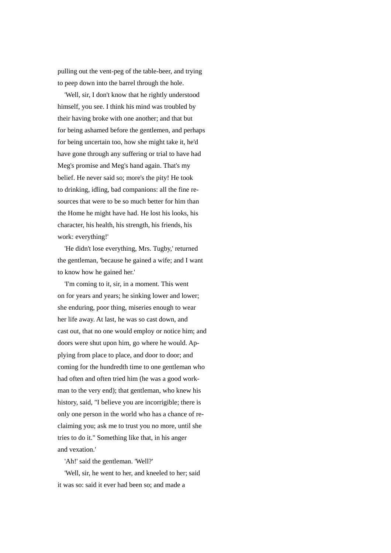pulling out the vent-peg of the table-beer, and trying to peep down into the barrel through the hole.

 'Well, sir, I don't know that he rightly understood himself, you see. I think his mind was troubled by their having broke with one another; and that but for being ashamed before the gentlemen, and perhaps for being uncertain too, how she might take it, he'd have gone through any suffering or trial to have had Meg's promise and Meg's hand again. That's my belief. He never said so; more's the pity! He took to drinking, idling, bad companions: all the fine resources that were to be so much better for him than the Home he might have had. He lost his looks, his character, his health, his strength, his friends, his work: everything!'

 'He didn't lose everything, Mrs. Tugby,' returned the gentleman, 'because he gained a wife; and I want to know how he gained her.'

 'I'm coming to it, sir, in a moment. This went on for years and years; he sinking lower and lower; she enduring, poor thing, miseries enough to wear her life away. At last, he was so cast down, and cast out, that no one would employ or notice him; and doors were shut upon him, go where he would. Applying from place to place, and door to door; and coming for the hundredth time to one gentleman who had often and often tried him (he was a good workman to the very end); that gentleman, who knew his history, said, "I believe you are incorrigible; there is only one person in the world who has a chance of reclaiming you; ask me to trust you no more, until she tries to do it." Something like that, in his anger and vexation.'

'Ah!' said the gentleman. 'Well?'

 'Well, sir, he went to her, and kneeled to her; said it was so: said it ever had been so; and made a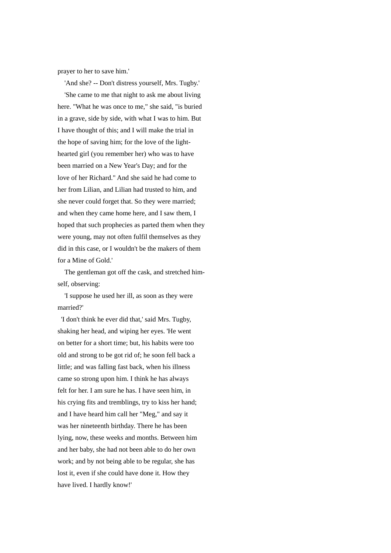prayer to her to save him.'

 'And she? -- Don't distress yourself, Mrs. Tugby.' 'She came to me that night to ask me about living here. "What he was once to me," she said, "is buried in a grave, side by side, with what I was to him. But I have thought of this; and I will make the trial in the hope of saving him; for the love of the lighthearted girl (you remember her) who was to have been married on a New Year's Day; and for the love of her Richard." And she said he had come to her from Lilian, and Lilian had trusted to him, and she never could forget that. So they were married; and when they came home here, and I saw them, I hoped that such prophecies as parted them when they were young, may not often fulfil themselves as they did in this case, or I wouldn't be the makers of them for a Mine of Gold.'

 The gentleman got off the cask, and stretched himself, observing:

 'I suppose he used her ill, as soon as they were married?'

 'I don't think he ever did that,' said Mrs. Tugby, shaking her head, and wiping her eyes. 'He went on better for a short time; but, his habits were too old and strong to be got rid of; he soon fell back a little; and was falling fast back, when his illness came so strong upon him. I think he has always felt for her. I am sure he has. I have seen him, in his crying fits and tremblings, try to kiss her hand; and I have heard him call her "Meg," and say it was her nineteenth birthday. There he has been lying, now, these weeks and months. Between him and her baby, she had not been able to do her own work; and by not being able to be regular, she has lost it, even if she could have done it. How they have lived. I hardly know!'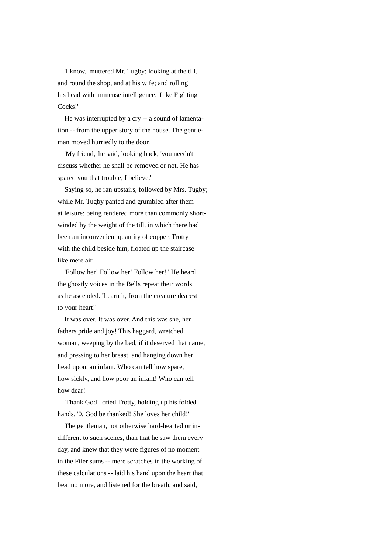'I know,' muttered Mr. Tugby; looking at the till, and round the shop, and at his wife; and rolling his head with immense intelligence. 'Like Fighting Cocks!'

 He was interrupted by a cry -- a sound of lamentation -- from the upper story of the house. The gentleman moved hurriedly to the door.

 'My friend,' he said, looking back, 'you needn't discuss whether he shall be removed or not. He has spared you that trouble, I believe.'

 Saying so, he ran upstairs, followed by Mrs. Tugby; while Mr. Tugby panted and grumbled after them at leisure: being rendered more than commonly shortwinded by the weight of the till, in which there had been an inconvenient quantity of copper. Trotty with the child beside him, floated up the staircase like mere air.

 'Follow her! Follow her! Follow her! ' He heard the ghostly voices in the Bells repeat their words as he ascended. 'Learn it, from the creature dearest to your heart!'

 It was over. It was over. And this was she, her fathers pride and joy! This haggard, wretched woman, weeping by the bed, if it deserved that name, and pressing to her breast, and hanging down her head upon, an infant. Who can tell how spare, how sickly, and how poor an infant! Who can tell how dear!

 'Thank God!' cried Trotty, holding up his folded hands. '0, God be thanked! She loves her child!'

 The gentleman, not otherwise hard-hearted or indifferent to such scenes, than that he saw them every day, and knew that they were figures of no moment in the Filer sums -- mere scratches in the working of these calculations -- laid his hand upon the heart that beat no more, and listened for the breath, and said,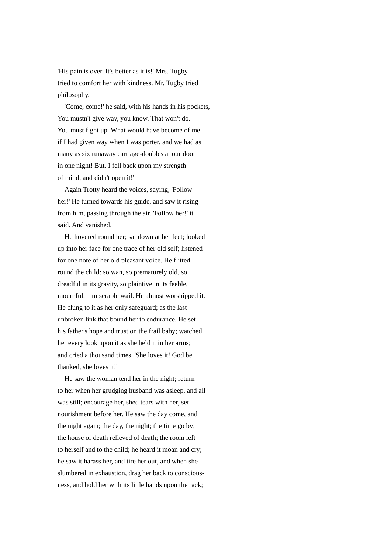'His pain is over. It's better as it is!' Mrs. Tugby tried to comfort her with kindness. Mr. Tugby tried philosophy.

 'Come, come!' he said, with his hands in his pockets, You mustn't give way, you know. That won't do. You must fight up. What would have become of me if I had given way when I was porter, and we had as many as six runaway carriage-doubles at our door in one night! But, I fell back upon my strength of mind, and didn't open it!'

 Again Trotty heard the voices, saying, 'Follow her!' He turned towards his guide, and saw it rising from him, passing through the air. 'Follow her!' it said. And vanished.

 He hovered round her; sat down at her feet; looked up into her face for one trace of her old self; listened for one note of her old pleasant voice. He flitted round the child: so wan, so prematurely old, so dreadful in its gravity, so plaintive in its feeble, mournful, miserable wail. He almost worshipped it. He clung to it as her only safeguard; as the last unbroken link that bound her to endurance. He set his father's hope and trust on the frail baby; watched her every look upon it as she held it in her arms; and cried a thousand times, 'She loves it! God be thanked, she loves it!'

 He saw the woman tend her in the night; return to her when her grudging husband was asleep, and all was still; encourage her, shed tears with her, set nourishment before her. He saw the day come, and the night again; the day, the night; the time go by; the house of death relieved of death; the room left to herself and to the child; he heard it moan and cry; he saw it harass her, and tire her out, and when she slumbered in exhaustion, drag her back to consciousness, and hold her with its little hands upon the rack;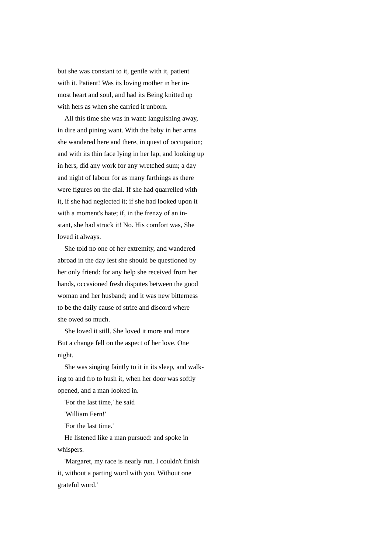but she was constant to it, gentle with it, patient with it. Patient! Was its loving mother in her inmost heart and soul, and had its Being knitted up with hers as when she carried it unborn.

 All this time she was in want: languishing away, in dire and pining want. With the baby in her arms she wandered here and there, in quest of occupation; and with its thin face lying in her lap, and looking up in hers, did any work for any wretched sum; a day and night of labour for as many farthings as there were figures on the dial. If she had quarrelled with it, if she had neglected it; if she had looked upon it with a moment's hate; if, in the frenzy of an instant, she had struck it! No. His comfort was, She loved it always.

 She told no one of her extremity, and wandered abroad in the day lest she should be questioned by her only friend: for any help she received from her hands, occasioned fresh disputes between the good woman and her husband; and it was new bitterness to be the daily cause of strife and discord where she owed so much.

 She loved it still. She loved it more and more But a change fell on the aspect of her love. One night.

 She was singing faintly to it in its sleep, and walking to and fro to hush it, when her door was softly opened, and a man looked in.

'For the last time,' he said

'William Fern!'

'For the last time.'

 He listened like a man pursued: and spoke in whispers.

 'Margaret, my race is nearly run. I couldn't finish it, without a parting word with you. Without one grateful word.'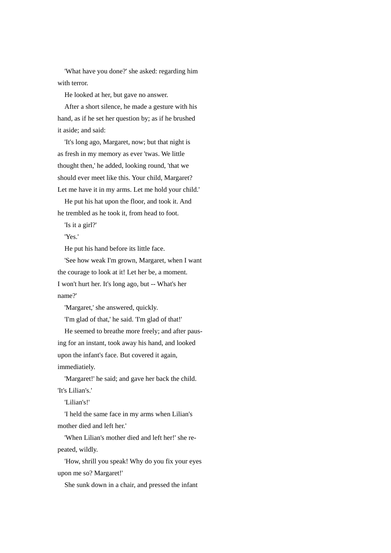'What have you done?' she asked: regarding him with terror.

He looked at her, but gave no answer.

 After a short silence, he made a gesture with his hand, as if he set her question by; as if he brushed it aside; and said:

 'It's long ago, Margaret, now; but that night is as fresh in my memory as ever 'twas. We little thought then,' he added, looking round, 'that we should ever meet like this. Your child, Margaret? Let me have it in my arms. Let me hold your child.'

 He put his hat upon the floor, and took it. And he trembled as he took it, from head to foot.

'Is it a girl?'

'Yes.'

He put his hand before its little face.

 'See how weak I'm grown, Margaret, when I want the courage to look at it! Let her be, a moment. I won't hurt her. It's long ago, but -- What's her name?'

'Margaret,' she answered, quickly.

'I'm glad of that,' he said. 'I'm glad of that!'

 He seemed to breathe more freely; and after pausing for an instant, took away his hand, and looked upon the infant's face. But covered it again, immediatiely.

'Margaret!' he said; and gave her back the child.

'It's Lilian's.'

'Lilian's!'

 'I held the same face in my arms when Lilian's mother died and left her.'

 'When Lilian's mother died and left her!' she repeated, wildly.

 'How, shrill you speak! Why do you fix your eyes upon me so? Margaret!'

She sunk down in a chair, and pressed the infant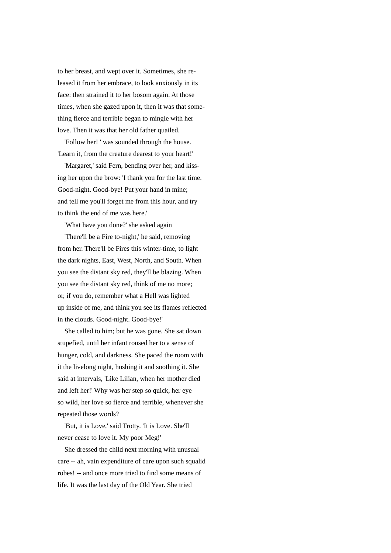to her breast, and wept over it. Sometimes, she released it from her embrace, to look anxiously in its face: then strained it to her bosom again. At those times, when she gazed upon it, then it was that something fierce and terrible began to mingle with her love. Then it was that her old father quailed.

 'Follow her! ' was sounded through the house. 'Learn it, from the creature dearest to your heart!'

 'Margaret,' said Fern, bending over her, and kissing her upon the brow: 'I thank you for the last time. Good-night. Good-bye! Put your hand in mine; and tell me you'll forget me from this hour, and try to think the end of me was here.'

'What have you done?' she asked again

 'There'll be a Fire to-night,' he said, removing from her. There'll be Fires this winter-time, to light the dark nights, East, West, North, and South. When you see the distant sky red, they'll be blazing. When you see the distant sky red, think of me no more; or, if you do, remember what a Hell was lighted up inside of me, and think you see its flames reflected in the clouds. Good-night. Good-bye!'

 She called to him; but he was gone. She sat down stupefied, until her infant roused her to a sense of hunger, cold, and darkness. She paced the room with it the livelong night, hushing it and soothing it. She said at intervals, 'Like Lilian, when her mother died and left her!' Why was her step so quick, her eye so wild, her love so fierce and terrible, whenever she repeated those words?

 'But, it is Love,' said Trotty. 'It is Love. She'll never cease to love it. My poor Meg!'

 She dressed the child next morning with unusual care -- ah, vain expenditure of care upon such squalid robes! -- and once more tried to find some means of life. It was the last day of the Old Year. She tried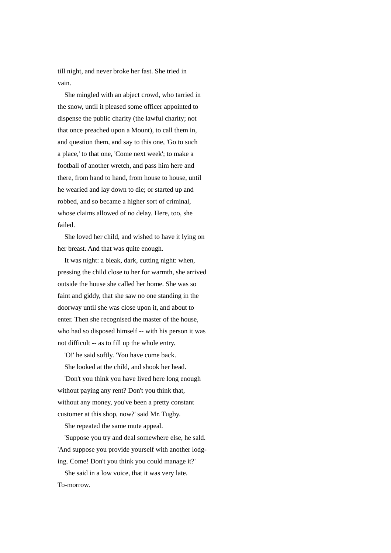till night, and never broke her fast. She tried in vain.

 She mingled with an abject crowd, who tarried in the snow, until it pleased some officer appointed to dispense the public charity (the lawful charity; not that once preached upon a Mount), to call them in, and question them, and say to this one, 'Go to such a place,' to that one, 'Come next week'; to make a football of another wretch, and pass him here and there, from hand to hand, from house to house, until he wearied and lay down to die; or started up and robbed, and so became a higher sort of criminal, whose claims allowed of no delay. Here, too, she failed.

 She loved her child, and wished to have it lying on her breast. And that was quite enough.

 It was night: a bleak, dark, cutting night: when, pressing the child close to her for warmth, she arrived outside the house she called her home. She was so faint and giddy, that she saw no one standing in the doorway until she was close upon it, and about to enter. Then she recognised the master of the house, who had so disposed himself -- with his person it was not difficult -- as to fill up the whole entry.

'O!' he said softly. 'You have come back.

She looked at the child, and shook her head.

 'Don't you think you have lived here long enough without paying any rent? Don't you think that, without any money, you've been a pretty constant customer at this shop, now?' said Mr. Tugby.

She repeated the same mute appeal.

 'Suppose you try and deal somewhere else, he sald. 'And suppose you provide yourself with another lodging. Come! Don't you think you could manage it?'

 She said in a low voice, that it was very late. To-morrow.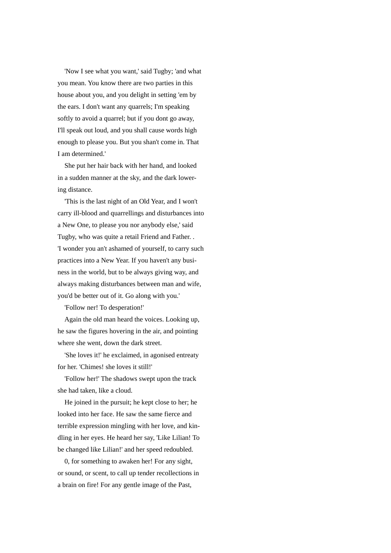'Now I see what you want,' said Tugby; 'and what you mean. You know there are two parties in this house about you, and you delight in setting 'em by the ears. I don't want any quarrels; I'm speaking softly to avoid a quarrel; but if you dont go away, I'll speak out loud, and you shall cause words high enough to please you. But you shan't come in. That I am determined.'

 She put her hair back with her hand, and looked in a sudden manner at the sky, and the dark lowering distance.

 'This is the last night of an Old Year, and I won't carry ill-blood and quarrellings and disturbances into a New One, to please you nor anybody else,' said Tugby, who was quite a retail Friend and Father. . 'I wonder you an't ashamed of yourself, to carry such practices into a New Year. If you haven't any business in the world, but to be always giving way, and always making disturbances between man and wife, you'd be better out of it. Go along with you.'

'Follow ner! To desperation!'

 Again the old man heard the voices. Looking up, he saw the figures hovering in the air, and pointing where she went, down the dark street.

 'She loves it!' he exclaimed, in agonised entreaty for her. 'Chimes! she loves it still!'

 'Follow her!' The shadows swept upon the track she had taken, like a cloud.

 He joined in the pursuit; he kept close to her; he looked into her face. He saw the same fierce and terrible expression mingling with her love, and kindling in her eyes. He heard her say, 'Like Lilian! To be changed like Lilian!' and her speed redoubled.

 0, for something to awaken her! For any sight, or sound, or scent, to call up tender recollections in a brain on fire! For any gentle image of the Past,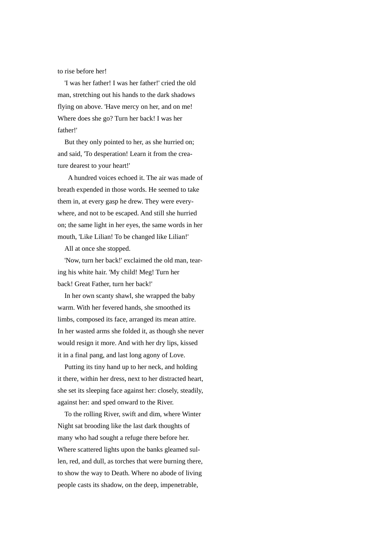to rise before her!

 'I was her father! I was her father!' cried the old man, stretching out his hands to the dark shadows flying on above. 'Have mercy on her, and on me! Where does she go? Turn her back! I was her father!'

 But they only pointed to her, as she hurried on; and said, 'To desperation! Learn it from the creature dearest to your heart!'

 A hundred voices echoed it. The air was made of breath expended in those words. He seemed to take them in, at every gasp he drew. They were everywhere, and not to be escaped. And still she hurried on; the same light in her eyes, the same words in her mouth, 'Like Lilian! To be changed like Lilian!'

All at once she stopped.

 'Now, turn her back!' exclaimed the old man, tearing his white hair. 'My child! Meg! Turn her back! Great Father, turn her back!'

 In her own scanty shawl, she wrapped the baby warm. With her fevered hands, she smoothed its limbs, composed its face, arranged its mean attire. In her wasted arms she folded it, as though she never would resign it more. And with her dry lips, kissed it in a final pang, and last long agony of Love.

 Putting its tiny hand up to her neck, and holding it there, within her dress, next to her distracted heart, she set its sleeping face against her: closely, steadily, against her: and sped onward to the River.

 To the rolling River, swift and dim, where Winter Night sat brooding like the last dark thoughts of many who had sought a refuge there before her. Where scattered lights upon the banks gleamed sullen, red, and dull, as torches that were burning there, to show the way to Death. Where no abode of living people casts its shadow, on the deep, impenetrable,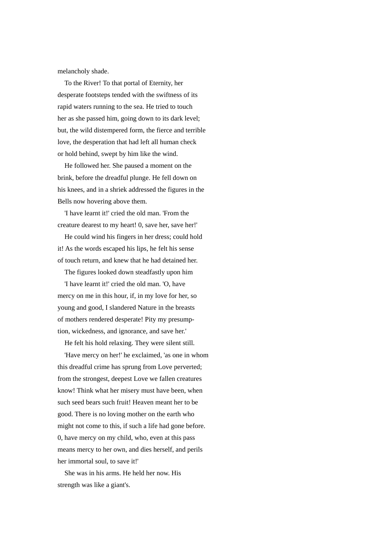melancholy shade.

 To the River! To that portal of Eternity, her desperate footsteps tended with the swiftness of its rapid waters running to the sea. He tried to touch her as she passed him, going down to its dark level; but, the wild distempered form, the fierce and terrible love, the desperation that had left all human check or hold behind, swept by him like the wind.

 He followed her. She paused a moment on the brink, before the dreadful plunge. He fell down on his knees, and in a shriek addressed the figures in the Bells now hovering above them.

 'I have learnt it!' cried the old man. 'From the creature dearest to my heart! 0, save her, save her!'

 He could wind his fingers in her dress; could hold it! As the words escaped his lips, he felt his sense of touch return, and knew that he had detained her.

The figures looked down steadfastly upon him

 'I have learnt it!' cried the old man. 'O, have mercy on me in this hour, if, in my love for her, so young and good, I slandered Nature in the breasts of mothers rendered desperate! Pity my presumption, wickedness, and ignorance, and save her.'

He felt his hold relaxing. They were silent still.

 'Have mercy on her!' he exclaimed, 'as one in whom this dreadful crime has sprung from Love perverted; from the strongest, deepest Love we fallen creatures know! Think what her misery must have been, when such seed bears such fruit! Heaven meant her to be good. There is no loving mother on the earth who might not come to this, if such a life had gone before. 0, have mercy on my child, who, even at this pass means mercy to her own, and dies herself, and perils her immortal soul, to save it!'

 She was in his arms. He held her now. His strength was like a giant's.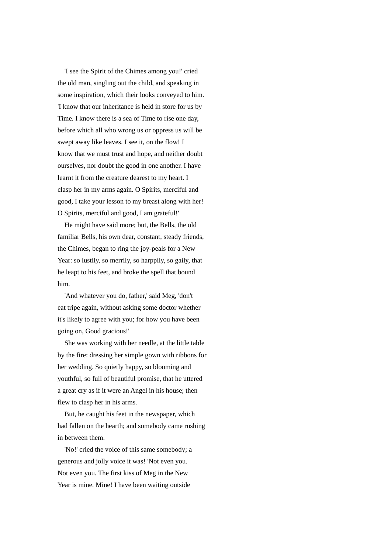'I see the Spirit of the Chimes among you!' cried the old man, singling out the child, and speaking in some inspiration, which their looks conveyed to him. 'I know that our inheritance is held in store for us by Time. I know there is a sea of Time to rise one day, before which all who wrong us or oppress us will be swept away like leaves. I see it, on the flow! I know that we must trust and hope, and neither doubt ourselves, nor doubt the good in one another. I have learnt it from the creature dearest to my heart. I clasp her in my arms again. O Spirits, merciful and good, I take your lesson to my breast along with her! O Spirits, merciful and good, I am grateful!'

 He might have said more; but, the Bells, the old familiar Bells, his own dear, constant, steady friends, the Chimes, began to ring the joy-peals for a New Year: so lustily, so merrily, so harppily, so gaily, that he leapt to his feet, and broke the spell that bound him.

 'And whatever you do, father,' said Meg, 'don't eat tripe again, without asking some doctor whether it's likely to agree with you; for how you have been going on, Good gracious!'

 She was working with her needle, at the little table by the fire: dressing her simple gown with ribbons for her wedding. So quietly happy, so blooming and youthful, so full of beautiful promise, that he uttered a great cry as if it were an Angel in his house; then flew to clasp her in his arms.

 But, he caught his feet in the newspaper, which had fallen on the hearth; and somebody came rushing in between them.

 'No!' cried the voice of this same somebody; a generous and jolly voice it was! 'Not even you. Not even you. The first kiss of Meg in the New Year is mine. Mine! I have been waiting outside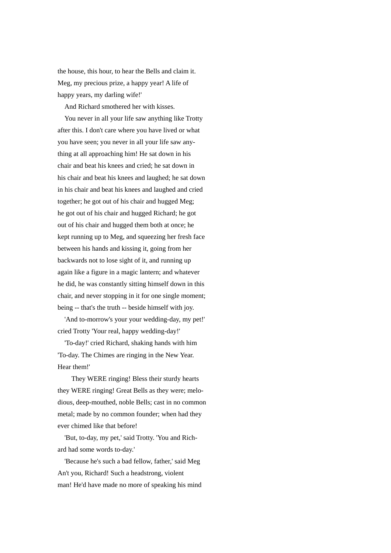the house, this hour, to hear the Bells and claim it. Meg, my precious prize, a happy year! A life of happy years, my darling wife!'

And Richard smothered her with kisses.

 You never in all your life saw anything like Trotty after this. I don't care where you have lived or what you have seen; you never in all your life saw anything at all approaching him! He sat down in his chair and beat his knees and cried; he sat down in his chair and beat his knees and laughed; he sat down in his chair and beat his knees and laughed and cried together; he got out of his chair and hugged Meg; he got out of his chair and hugged Richard; he got out of his chair and hugged them both at once; he kept running up to Meg, and squeezing her fresh face between his hands and kissing it, going from her backwards not to lose sight of it, and running up again like a figure in a magic lantern; and whatever he did, he was constantly sitting himself down in this chair, and never stopping in it for one single moment; being -- that's the truth -- beside himself with joy.

 'And to-morrow's your your wedding-day, my pet!' cried Trotty 'Your real, happy wedding-day!'

 'To-day!' cried Richard, shaking hands with him 'To-day. The Chimes are ringing in the New Year. Hear them!'

 They WERE ringing! Bless their sturdy hearts they WERE ringing! Great Bells as they were; melodious, deep-mouthed, noble Bells; cast in no common metal; made by no common founder; when had they ever chimed like that before!

 'But, to-day, my pet,' said Trotty. 'You and Richard had some words to-day.'

 'Because he's such a bad fellow, father,' said Meg An't you, Richard! Such a headstrong, violent man! He'd have made no more of speaking his mind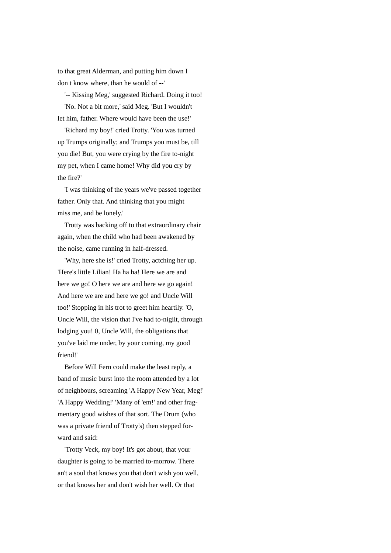to that great Alderman, and putting him down I don t know where, than he would of --'

 '-- Kissing Meg,' suggested Richard. Doing it too! 'No. Not a bit more,' said Meg. 'But I wouldn't let him, father. Where would have been the use!'

 'Richard my boy!' cried Trotty. 'You was turned up Trumps originally; and Trumps you must be, till you die! But, you were crying by the fire to-night my pet, when I came home! Why did you cry by the fire?'

 'I was thinking of the years we've passed together father. Only that. And thinking that you might miss me, and be lonely.'

 Trotty was backing off to that extraordinary chair again, when the child who had been awakened by the noise, came running in half-dressed.

 'Why, here she is!' cried Trotty, actching her up. 'Here's little Lilian! Ha ha ha! Here we are and here we go! O here we are and here we go again! And here we are and here we go! and Uncle Will too!' Stopping in his trot to greet him heartily. 'O, Uncle Will, the vision that I've had to-nigilt, through lodging you! 0, Uncle Will, the obligations that you've laid me under, by your coming, my good friend!'

 Before Will Fern could make the least reply, a band of music burst into the room attended by a lot of neighbours, screaming 'A Happy New Year, Meg!' 'A Happy Wedding!' 'Many of 'em!' and other fragmentary good wishes of that sort. The Drum (who was a private friend of Trotty's) then stepped forward and said:

 'Trotty Veck, my boy! It's got about, that your daughter is going to be married to-morrow. There an't a soul that knows you that don't wish you well, or that knows her and don't wish her well. Or that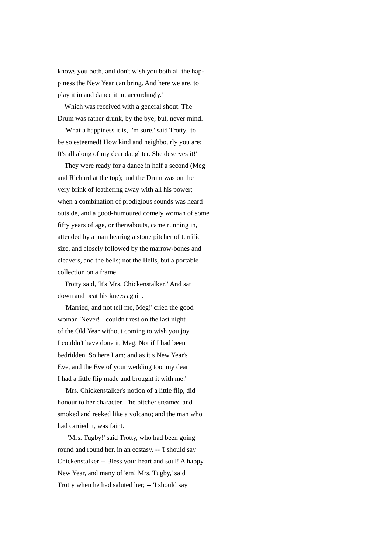knows you both, and don't wish you both all the happiness the New Year can bring. And here we are, to play it in and dance it in, accordingly.'

 Which was received with a general shout. The Drum was rather drunk, by the bye; but, never mind.

 'What a happiness it is, I'm sure,' said Trotty, 'to be so esteemed! How kind and neighbourly you are; It's all along of my dear daughter. She deserves it!'

 They were ready for a dance in half a second (Meg and Richard at the top); and the Drum was on the very brink of leathering away with all his power; when a combination of prodigious sounds was heard outside, and a good-humoured comely woman of some fifty years of age, or thereabouts, came running in, attended by a man bearing a stone pitcher of terrific size, and closely followed by the marrow-bones and cleavers, and the bells; not the Bells, but a portable collection on a frame.

 Trotty said, 'It's Mrs. Chickenstalker!' And sat down and beat his knees again.

 'Married, and not tell me, Meg!' cried the good woman 'Never! I couldn't rest on the last night of the Old Year without coming to wish you joy. I couldn't have done it, Meg. Not if I had been bedridden. So here I am; and as it s New Year's Eve, and the Eve of your wedding too, my dear I had a little flip made and brought it with me.'

 'Mrs. Chickenstalker's notion of a little flip, did honour to her character. The pitcher steamed and smoked and reeked like a volcano; and the man who had carried it, was faint.

 'Mrs. Tugby!' said Trotty, who had been going round and round her, in an ecstasy. -- 'I should say Chickenstalker -- Bless your heart and soul! A happy New Year, and many of 'em! Mrs. Tugby,' said Trotty when he had saluted her; -- 'I should say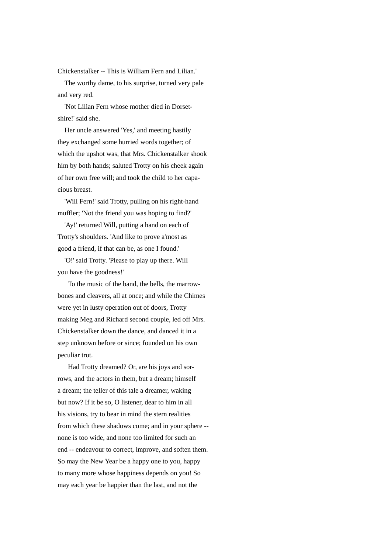Chickenstalker -- This is William Fern and Lilian.'

 The worthy dame, to his surprise, turned very pale and very red.

 'Not Lilian Fern whose mother died in Dorsetshire!' said she.

 Her uncle answered 'Yes,' and meeting hastily they exchanged some hurried words together; of which the upshot was, that Mrs. Chickenstalker shook him by both hands; saluted Trotty on his cheek again of her own free will; and took the child to her capacious breast.

 'Will Fern!' said Trotty, pulling on his right-hand muffler; 'Not the friend you was hoping to find?'

 'Ay!' returned Will, putting a hand on each of Trotty's shoulders. 'And like to prove a'most as good a friend, if that can be, as one I found.'

 'O!' said Trotty. 'Please to play up there. Will you have the goodness!'

 To the music of the band, the bells, the marrowbones and cleavers, all at once; and while the Chimes were yet in lusty operation out of doors, Trotty making Meg and Richard second couple, led off Mrs. Chickenstalker down the dance, and danced it in a step unknown before or since; founded on his own peculiar trot.

 Had Trotty dreamed? Or, are his joys and sorrows, and the actors in them, but a dream; himself a dream; the teller of this tale a dreamer, waking but now? If it be so, O listener, dear to him in all his visions, try to bear in mind the stern realities from which these shadows come; and in your sphere - none is too wide, and none too limited for such an end -- endeavour to correct, improve, and soften them. So may the New Year be a happy one to you, happy to many more whose happiness depends on you! So may each year be happier than the last, and not the